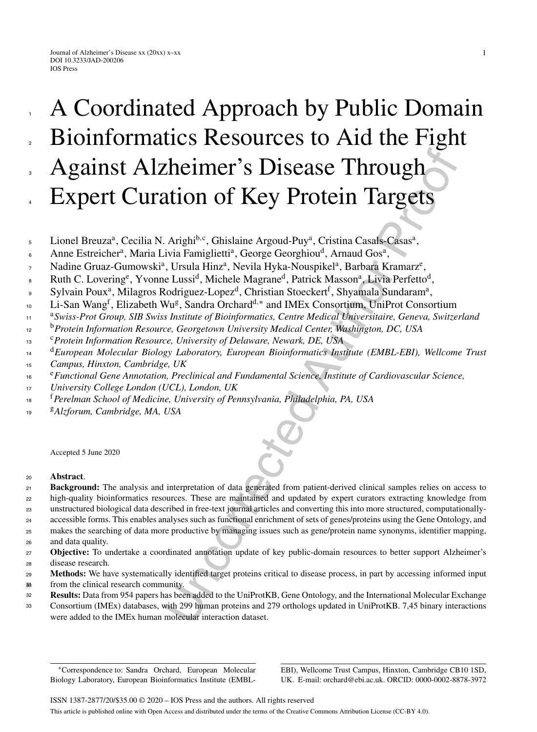1

2

3

4

# Example The Summary of Revise of Revise Through<br>
Arighi<sup>b.c</sup>, Ghislaine Argoud-Puy<sup>a</sup>, Cristina Casals-Casas<sup>a</sup>,<br>
Uncorrected Author Family it (Scorrected Author Armand Gos<sup>2</sup>,<br>
Uncula Hinz<sup>a</sup>, Nevila Hyaka-Nouspikel<sup>4</sup>, B A Coordinated Approach by Public Domain Bioinformatics Resources to Aid the Fight Against Alzheimer's Disease Through Expert Curation of Key Protein Targets

- Lionel Breuza<sup>a</sup>, Cecilia N. Arighi<sup>b,c</sup>, Ghislaine Argoud-Puy<sup>a</sup>, Cristina Casals-Casas<sup>a</sup>, 5
- Anne Estreicher<sup>a</sup>, Maria Livia Famiglietti<sup>a</sup>, George Georghiou<sup>d</sup>, Arnaud Gos<sup>a</sup>, 6
- Nadine Gruaz-Gumowski<sup>a</sup>, Ursula Hinz<sup>a</sup>, Nevila Hyka-Nouspikel<sup>a</sup>, Barbara Kramarz<sup>e</sup>, 7
- Ruth C. Lovering<sup>e</sup>, Yvonne Lussi<sup>d</sup>, Michele Magrane<sup>d</sup>, Patrick Masson<sup>a</sup>, Livia Perfetto<sup>d</sup>, 8
- Sylvain Poux<sup>a</sup>, Milagros Rodriguez-Lopez<sup>d</sup>, Christian Stoeckert<sup>f</sup>, Shyamala Sundaram<sup>a</sup>,  $\alpha$
- Li-San Wangf , Elizabeth Wug, Sandra Orchardd*,*<sup>∗</sup> and IMEx Consortium, UniProt Consortium 10
- <sup>a</sup> <sup>11</sup> *Swiss-Prot Group, SIB Swiss Institute of Bioinformatics, Centre Medical Universitaire, Geneva, Switzerland*
- <sup>b</sup> <sup>12</sup> *Protein Information Resource, Georgetown University Medical Center, Washington, DC, USA*
- <sup>c</sup> Protein Information Resource, University of Delaware, Newark, DE, USA
- <sup>d</sup>*European Molecular Biology Laboratory, European Bioinformatics Institute (EMBL-EBI), Wellcome Trust* 14
- *Campus, Hinxton, Cambridge, UK* 15
- <sup>e</sup>*Functional Gene Annotation, Preclinical and Fundamental Science, Institute of Cardiovascular Science,* 16
- *University College London (UCL), London, UK* 17
- <sup>f</sup> <sup>18</sup> *Perelman School of Medicine, University of Pennsylvania, Philadelphia, PA, USA*
- <sup>g</sup> <sup>19</sup> *Alzforum, Cambridge, MA, USA*

Accepted 5 June 2020

# <sup>20</sup> **Abstract**.

- **Background:** The analysis and interpretation of data generated from patient-derived clinical samples relies on access to  $21$
- high-quality bioinformatics resources. These are maintained and updated by expert curators extracting knowledge from 22
- unstructured biological data described in free-text journal articles and converting this into more structured, computationallyaccessible forms. This enables analyses such as functional enrichment of sets of genes/proteins using the Gene Ontology, and 23 24
- makes the searching of data more productive by managing issues such as gene/protein name synonyms, identifier mapping, and data quality. 25 26
- **Objective:** To undertake a coordinated annotation update of key public-domain resources to better support Alzheimer's disease research. 27 28
- **Methods:** We have systematically identified target proteins critical to disease process, in part by accessing informed input 29
- from the clinical research community. 30 31
- **Results:** Data from 954 papers has been added to the UniProtKB, Gene Ontology, and the International Molecular Exchange 32
- Consortium (IMEx) databases, with 299 human proteins and 279 orthologs updated in UniProtKB. 7,45 binary interactions were added to the IMEx human molecular interaction dataset. 33

EBI), Wellcome Trust Campus, Hinxton, Cambridge CB10 1SD, UK. E-mail: [orchard@ebi.ac.uk.](mailto:orchard@ebi.ac.uk) ORCID: [0000-0002-8878-3972](mailto:0000-0002-8878-3972)

<sup>∗</sup>Correspondence to: Sandra Orchard, European Molecular Biology Laboratory, European Bioinformatics Institute (EMBL-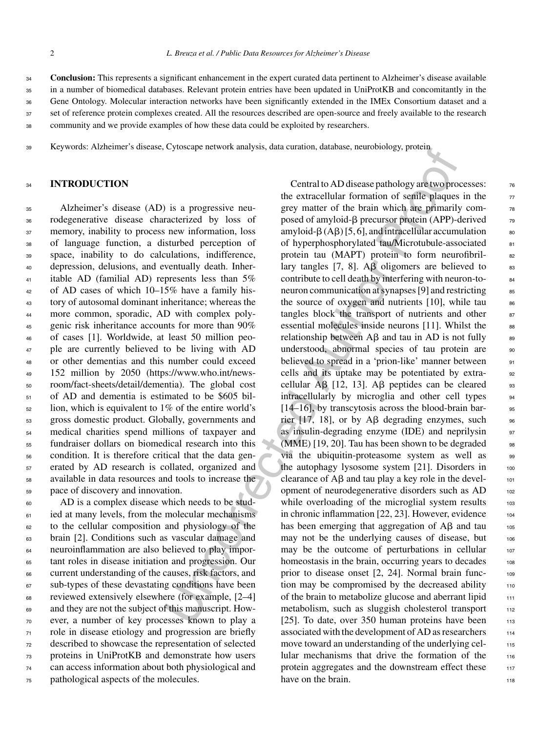### **Conclusion:** This represents a significant enhancement in the expert curated data pertinent to Alzheimer's disease available in a number of biomedical databases. Relevant protein entries have been updated in UniProtKB and concomitantly in the Gene Ontology. Molecular interaction networks have been significantly extended in the IMEx Consortium dataset and a set of reference protein complexes created. All the resources described are open-source and freely available to the research community and we provide examples of how these data could be exploited by researchers. 34 35 36 37 38

<sup>39</sup> Keywords: Alzheimer's disease, Cytoscape network analysis, data curation, database, neurobiology, protein

# <sup>34</sup> **INTRODUCTION**

 Alzheimer's disease (AD) is a progressive neu- rodegenerative disease characterized by loss of memory, inability to process new information, loss of language function, a disturbed perception of space, inability to do calculations, indifference, depression, delusions, and eventually death. Inher- itable AD (familial AD) represents less than 5% of AD cases of which  $10-15\%$  have a family his- tory of autosomal dominant inheritance; whereas the more common, sporadic, AD with complex poly- genic risk inheritance accounts for more than 90% of cases [1]. Worldwide, at least 50 million peo- ple are currently believed to be living with AD or other dementias and this number could exceed 152 million by 2050 (https://www.who.int/news- room/fact-sheets/detail/dementia). The global cost of AD and dementia is estimated to be \$605 bil- lion, which is equivalent to 1% of the entire world's gross domestic product. Globally, governments and medical charities spend millions of taxpayer and fundraiser dollars on biomedical research into this condition. It is therefore critical that the data gen- erated by AD research is collated, organized and available in data resources and tools to increase the pace of discovery and innovation.

 AD is a complex disease which needs to be stud- ied at many levels, from the molecular mechanisms to the cellular composition and physiology of the brain [2]. Conditions such as vascular damage and neuroinflammation are also believed to play impor- tant roles in disease initiation and progression. Our current understanding of the causes, risk factors, and sub-types of these devastating conditions have been reviewed extensively elsewhere (for example, [2–4] and they are not the subject of this manuscript. How- ever, a number of key processes known to play a role in disease etiology and progression are briefly described to showcase the representation of selected proteins in UniProtKB and demonstrate how users can access information about both physiological and pathological aspects of the molecules.

Cytoscape network anarysis, based cotaton, datacase, neurolonogy, procent<br>
or the extracellular formation of senife plaques<br>
recterized by loss of<br>
representate and the brain which are primarily<br>at the senife and the seni Central to AD disease pathology are two processes:  $\frac{76}{6}$ the extracellular formation of senile plaques in the  $77$ grey matter of the brain which are primarily composed of amyloid- $\beta$  precursor protein (APP)-derived  $\frac{75}{2}$  $amyloid- $\beta$  (A $\beta$ ) [5, 6], and intracellular accumulation$ of hyperphosphorylated tau/Microtubule-associated <sup>81</sup> protein tau (MAPT) protein to form neurofibril-<br>sa lary tangles [7, 8]. A $\beta$  oligomers are believed to  $\beta$ contribute to cell death by interfering with neuron-to- <sup>84</sup> neuron communication at synapses [9] and restricting  $\qquad$  85 the source of oxygen and nutrients  $[10]$ , while tau  $\frac{86}{100}$ tangles block the transport of nutrients and other  $87$ essential molecules inside neurons [11]. Whilst the relationship between  $\overrightarrow{AB}$  and tau in  $\overrightarrow{AD}$  is not fully  $\overrightarrow{BB}$ understood, abnormal species of tau protein are 90 believed to spread in a 'prion-like' manner between 91 cells and its uptake may be potentiated by extra-<br>92 cellular  $\overrightarrow{AB}$  [12, 13].  $\overrightarrow{AB}$  peptides can be cleared ss intracellularly by microglia and other cell types 94  $[14–16]$ , by transcytosis across the blood-brain barrier [17, 18], or by  $\overrightarrow{AB}$  degrading enzymes, such set as insulin-degrading enzyme (IDE) and neprilysin 97  $(MME)$  [19, 20]. Tau has been shown to be degraded  $\frac{98}{2}$ via the ubiquitin-proteasome system as well as 99 the autophagy lysosome system [21]. Disorders in 100 clearance of  $\overrightarrow{AB}$  and tau play a key role in the development of neurodegenerative disorders such as AD 102 while overloading of the microglial system results 103 in chronic inflammation  $[22, 23]$ . However, evidence  $104$ has been emerging that aggregation of  $\overrightarrow{AB}$  and tau  $\overrightarrow{105}$ may not be the underlying causes of disease, but 106 may be the outcome of perturbations in cellular  $107$ homeostasis in the brain, occurring years to decades 108 prior to disease onset [2, 24]. Normal brain function may be compromised by the decreased ability  $\frac{1}{100}$ of the brain to metabolize glucose and aberrant lipid 111 metabolism, such as sluggish cholesterol transport 112 [25]. To date, over 350 human proteins have been 113 associated with the development of AD as researchers 114 move toward an understanding of the underlying cellular mechanisms that drive the formation of the 116 protein aggregates and the downstream effect these 117 have on the brain.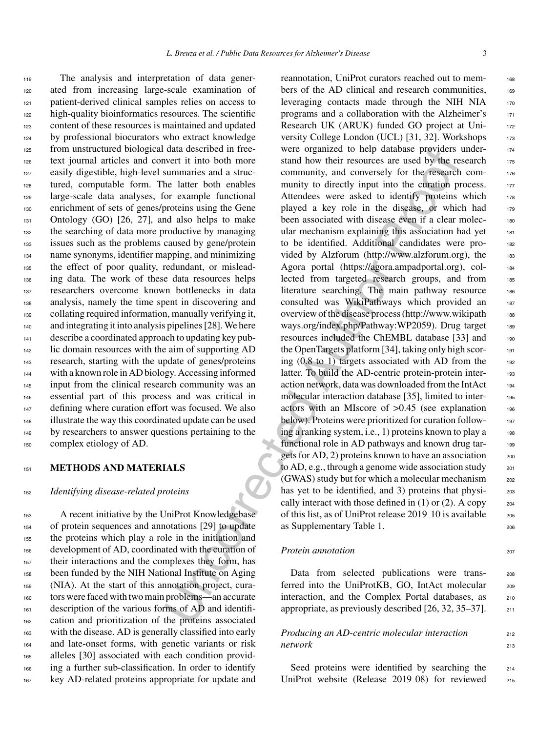The analysis and interpretation of data gener- ated from increasing large-scale examination of patient-derived clinical samples relies on access to high-quality bioinformatics resources. The scientific content of these resources is maintained and updated by professional biocurators who extract knowledge from unstructured biological data described in free- text journal articles and convert it into both more easily digestible, high-level summaries and a struc- tured, computable form. The latter both enables large-scale data analyses, for example functional enrichment of sets of genes/proteins using the Gene 131 Ontology (GO) [26, 27], and also helps to make the searching of data more productive by managing issues such as the problems caused by gene/protein name synonyms, identifier mapping, and minimizing the effect of poor quality, redundant, or mislead- ing data. The work of these data resources helps researchers overcome known bottlenecks in data analysis, namely the time spent in discovering and collating required information, manually verifying it, and integrating it into analysis pipelines [28]. We here describe a coordinated approach to updating key pub- lic domain resources with the aim of supporting AD research, starting with the update of genes/proteins with a known role in AD biology. Accessing informed input from the clinical research community was an essential part of this process and was critical in 147 defining where curation effort was focused. We also illustrate the way this coordinated update can be used 149 by researchers to answer questions pertaining to the complex etiology of AD.

# <sup>151</sup> **METHODS AND MATERIALS**

### <sup>152</sup> *Identifying disease-related proteins*

 A recent initiative by the UniProt Knowledgebase of protein sequences and annotations [29] to update the proteins which play a role in the initiation and development of AD, coordinated with the curation of their interactions and the complexes they form, has been funded by the NIH National Institute on Aging (NIA). At the start of this annotation project, cura- tors were faced with two main problems—an accurate description of the various forms of AD and identifi- cation and prioritization of the proteins associated with the disease. AD is generally classified into early and late-onset forms, with genetic variants or risk alleles [30] associated with each condition provid- ing a further sub-classification. In order to identify 167 key AD-related proteins appropriate for update and

data described in rect-<br>or parameter to the platabase providers are used by the revert it into both more<br>stand how their resources are used by the research time to the measurementies and a structom manying, and convertely reannotation, UniProt curators reached out to mem- <sup>168</sup> bers of the AD clinical and research communities, 169 leveraging contacts made through the NIH NIA 170 programs and a collaboration with the Alzheimer's 171 Research UK (ARUK) funded GO project at Uni- <sup>172</sup> versity College London (UCL) [31, 32]. Workshops 173 were organized to help database providers under-<br>174 stand how their resources are used by the research 175 community, and conversely for the research community to directly input into the curation process. 177 Attendees were asked to identify proteins which 178 played a key role in the disease, or which had 179 been associated with disease even if a clear molec-<br>180 ular mechanism explaining this association had yet 181 to be identified. Additional candidates were pro- <sup>182</sup> vided by Alzforum [\(http://www.alzforum.org\)](http://www.alzforum.org), the 183 Agora portal (https://agora.ampadportal.org), col- <sup>184</sup> lected from targeted research groups, and from 185 literature searching. The main pathway resource 186 consulted was WikiPathways which provided an 187 overview of the disease process [\(http://www.wikipath](http://www.wikipathways.org/index.php/Pathway:WP2059) <sup>188</sup> ways.org/index.php/Pathway:WP2059). Drug target 189 resources included the ChEMBL database [33] and 190 the OpenTargets platform [34], taking only high scor-<br>191 ing  $(0.8 \text{ to } 1)$  targets associated with AD from the 192 latter. To build the AD-centric protein-protein interaction network, data was downloaded from the IntAct 194 molecular interaction database [35], limited to inter-<br>195 actors with an MIscore of  $>0.45$  (see explanation 196 below). Proteins were prioritized for curation following a ranking system, i.e., 1) proteins known to play a 198 functional role in AD pathways and known drug targets for AD, 2) proteins known to have an association <sup>200</sup> to AD, e.g., through a genome wide association study 201 (GWAS) study but for which a molecular mechanism <sup>202</sup> has yet to be identified, and 3) proteins that physi-<br>203 cally interact with those defined in  $(1)$  or  $(2)$ . A copy  $204$ of this list, as of UniProt release 2019 10 is available <sup>205</sup> as Supplementary Table 1. 206

# *Protein annotation* 207

Data from selected publications were transferred into the UniProtKB, GO, IntAct molecular 209 interaction, and the Complex Portal databases, as 210 appropriate, as previously described  $[26, 32, 35-37]$ .  $211$ 

# *Producing an AD-centric molecular interaction network* 213

Seed proteins were identified by searching the 214 UniProt website (Release 2019<sub>-08</sub>) for reviewed 215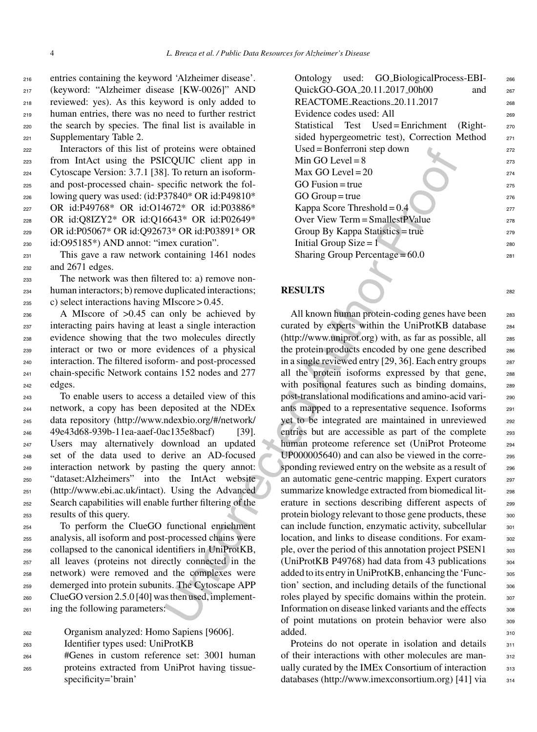entries containing the keyword 'Alzheimer disease'. (keyword: "Alzheimer disease [KW-0026]" AND reviewed: yes). As this keyword is only added to human entries, there was no need to further restrict the search by species. The final list is available in Supplementary Table 2.

 Interactors of this list of proteins were obtained from IntAct using the PSICQUIC client app in Cytoscape Version: 3.7.1 [38]. To return an isoform- and post-processed chain- specific network the fol- lowing query was used: (id:P37840\* OR id:P49810\* OR id:P49768\* OR id:O14672\* OR id:P03886\* OR id:Q8IZY2\* OR id:Q16643\* OR id:P02649\* OR id:P05067\* OR id:Q92673\* OR id:P03891\* OR id:O95185\*) AND annot: "imex curation".

<sup>231</sup> This gave a raw network containing 1461 nodes <sup>232</sup> and 2671 edges.

<sup>233</sup> The network was then filtered to: a) remove non-<sup>234</sup> human interactors; b) remove duplicated interactions;  $_{235}$  c) select interactions having MIscore  $> 0.45$ .

 A MIscore of >0.45 can only be achieved by interacting pairs having at least a single interaction evidence showing that the two molecules directly interact or two or more evidences of a physical interaction. The filtered isoform- and post-processed chain-specific Network contains 152 nodes and 277 <sup>242</sup> edges.

 To enable users to access a detailed view of this network, a copy has been deposited at the NDEx data repository (http://www.ndexbio.org/#/network/ 49e43d68-939b-11ea-aaef-0ac135e8bacf) [39]. Users may alternatively download an updated set of the data used to derive an AD-focused interaction network by pasting the query annot: "dataset:Alzheimers" into the IntAct website [\(http://www.ebi.ac.uk/intact](http://www.ebi.ac.uk/intact)). Using the Advanced Search capabilities will enable further filtering of the results of this query.

 To perform the ClueGO functional enrichment analysis, all isoform and post-processed chains were collapsed to the canonical identifiers in UniProtKB, all leaves (proteins not directly connected in the network) were removed and the complexes were demerged into protein subunits. The Cytoscape APP ClueGO version 2.5.0 [40] was then used, implement-ing the following parameters:

<sup>262</sup> Organism analyzed: Homo Sapiens [9606].

- <sup>263</sup> Identifier types used: UniProtKB
- <sup>264</sup> #Genes in custom reference set: 3001 human <sup>265</sup> proteins extracted from UniProt having tissuespecificity='brain'

| Ontology used: GO_BiologicalProcess-EBI-      | 266        |  |  |  |  |
|-----------------------------------------------|------------|--|--|--|--|
| QuickGO-GOA_20.11.2017_00h00<br>and           | 267        |  |  |  |  |
| REACTOME_Reactions_20.11.2017                 | 268        |  |  |  |  |
| Evidence codes used: All                      |            |  |  |  |  |
| Statistical Test Used = Enrichment<br>(Right- | 270        |  |  |  |  |
| sided hypergeometric test), Correction Method | 271        |  |  |  |  |
| Used = Bonferroni step down                   | 272        |  |  |  |  |
| Min GO Level = $8$                            | 273        |  |  |  |  |
| $Max GO Level = 20$                           | 274        |  |  |  |  |
| $GO$ Fusion = true                            | <b>275</b> |  |  |  |  |
| $GO Group = true$                             | 276        |  |  |  |  |
| Kappa Score Threshold = $0.4$                 | 277        |  |  |  |  |
| Over View Term = SmallestPValue               | 278        |  |  |  |  |
| Group By Kappa Statistics = true              | 279        |  |  |  |  |
| Initial Group $Size = 1$                      | 280        |  |  |  |  |
| Sharing Group Percentage = $60.0$             | 281        |  |  |  |  |
|                                               |            |  |  |  |  |

**RESULTS** <sup>282</sup>

process were obtain[ed](http://www.ndexbio.org/#/network/49e43d68-939b-11ea-aaef-0ac135e8bacf) used and the collect Borel and the contents were obtained by the properties and the content of the content of the content of the content of the content of the content of the content of the content of All known human protein-coding genes have been <sub>283</sub> curated by experts within the UniProtKB database <sup>284</sup> (http://www.uniprot.org) with, as far as possible, all <sup>285</sup> the protein products encoded by one gene described 286 in a single reviewed entry [29, 36]. Each entry groups 287 all the protein isoforms expressed by that gene, 288 with positional features such as binding domains, 289 post-translational modifications and amino-acid vari- <sup>290</sup> ants mapped to a representative sequence. Isoforms <sup>291</sup> yet to be integrated are maintained in unreviewed <sup>292</sup> entries but are accessible as part of the complete 293 human proteome reference set (UniProt Proteome <sup>294</sup> UP000005640) and can also be viewed in the corre- <sup>295</sup> sponding reviewed entry on the website as a result of 296 an automatic gene-centric mapping. Expert curators 297 summarize knowledge extracted from biomedical lit-<br>298 erature in sections describing different aspects of 299 protein biology relevant to those gene products, these  $\frac{300}{200}$ can include function, enzymatic activity, subcellular 301 location, and links to disease conditions. For exam-<br>soz ple, over the period of this annotation project PSEN1 303 (UniProtKB P49768) had data from 43 publications  $304$ added to its entry in UniProtKB, enhancing the 'Func- 305 tion' section, and including details of the functional <sub>306</sub> roles played by specific domains within the protein. 307 Information on disease linked variants and the effects 308 of point mutations on protein behavior were also 309 added. 310

> Proteins do not operate in isolation and details  $311$ of their interactions with other molecules are man- <sup>312</sup> ually curated by the IMEx Consortium of interaction 313 databases (<http://www.imexconsortium.org>) [41] via  $314$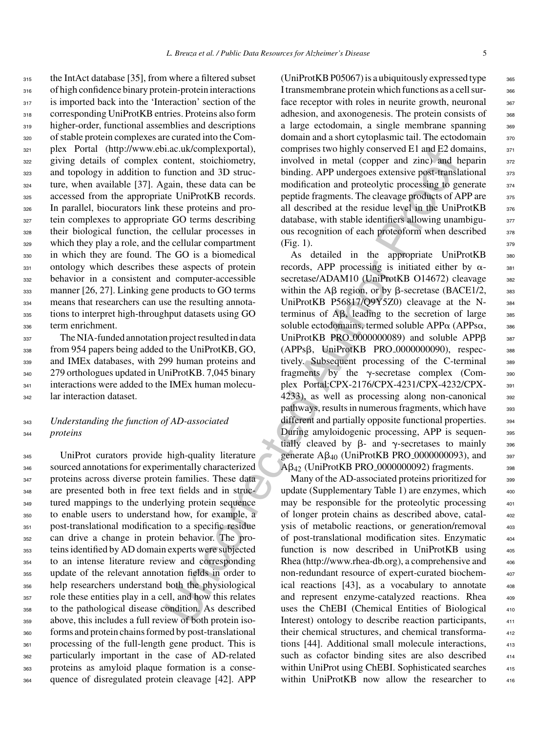315 the IntAct database [35], from where a filtered subset 316 of high confidence binary protein-protein interactions 317 is imported back into the 'Interaction' section of the corresponding UniProtKB entries. Proteins also form higher-order, functional assemblies and descriptions of stable protein complexes are curated into the Com- plex Portal [\(http://www.ebi.ac.uk/complexportal\)](http://www.ebi.ac.uk/complexportal), giving details of complex content, stoichiometry, and topology in addition to function and 3D struc- ture, when available [37]. Again, these data can be 325 accessed from the appropriate UniProtKB records. In parallel, biocurators link these proteins and pro-<sup>327</sup> tein complexes to appropriate GO terms describing their biological function, the cellular processes in which they play a role, and the cellular compartment in which they are found. The GO is a biomedical 331 ontology which describes these aspects of protein behavior in a consistent and computer-accessible manner [26, 27]. Linking gene products to GO terms means that researchers can use the resulting annota- tions to interpret high-throughput datasets using GO term enrichment.

 The NIA-funded annotation project resulted in data from 954 papers being added to the UniProtKB, GO, and IMEx databases, with 299 human proteins and 279 orthologues updated in UniProtKB. 7,045 binary 341 interactions were added to the IMEx human molecu-lar interaction dataset.

# <sup>343</sup> *Understanding the function of AD-associated* <sup>344</sup> *proteins*

 UniProt curators provide high-quality literature sourced annotations for experimentally characterized proteins across diverse protein families. These data are presented both in free text fields and in struc- tured mappings to the underlying protein sequence to enable users to understand how, for example, a post-translational modification to a specific residue can drive a change in protein behavior. The pro- teins identified by AD domain experts were subjected to an intense literature review and corresponding update of the relevant annotation fields in order to help researchers understand both the physiological role these entities play in a cell, and how this relates to the pathological disease condition. As described above, this includes a full review of both protein iso- forms and protein chains formed by post-translational processing of the full-length gene product. This is particularly important in the case of AD-related proteins as amyloid plaque formation is a conse-quence of disregulated protein cleavage [42]. APP

(UniProtKB P05067) is a ubiquitously expressed type  $365$ I transmembrane protein which functions as a cell sur-<br>s66 face receptor with roles in neurite growth, neuronal  $367$ adhesion, and axonogenesis. The protein consists of 368 a large ectodomain, a single membrane spanning 369 domain and a short cytoplasmic tail. The ectodomain 370 comprises two highly conserved E1 and E2 domains,  $371$ involved in metal (copper and zinc) and heparin 372 binding. APP undergoes extensive post-translational  $373$ modification and proteolytic processing to generate 374 peptide fragments. The cleavage products of APP are  $375$ all described at the residue level in the UniProtKB 376 database, with stable identifiers allowing unambigu-<br>377 ous recognition of each proteoform when described 378  $(Fig. 1).$  379

a. a.u.Kompete propose two highly conserved El and E2 denotes<br>
i.e. a.u.Kompete and interior and the binding. APP undergoes extensive post-<br>
function and 3 meta. binding. APP undergoes extensive post-<br>
and interior and int As detailed in the appropriate UniProtKB 380 records, APP processing is initiated either by  $\alpha$ - 381 secretase/ADAM10 (UniProtKB O14672) cleavage 382 within the A $\beta$  region, or by  $\beta$ -secretase (BACE1/2, 383) UniProtKB P56817/Q9Y5Z0) cleavage at the N- 384 terminus of  $\mathbf{A}\mathbf{\beta}$ , leading to the secretion of large  $\qquad$  385 soluble ectodomains, termed soluble  $APP\alpha$  (APPs $\alpha$ , UniProtKB PRO  $0000000089$  and soluble APP $\beta$  387 (APPsβ, UniProtKB PRO 0000000090), respec- 388 tively. Subsequent processing of the C-terminal 389 fragments by the  $\gamma$ -secretase complex (Com- 390) plex Portal:CPX-2176/CPX-4231/CPX-4232/CPX- <sup>391</sup> 4233), as well as processing along non-canonical 392 pathways, results in numerous fragments, which have 393 different and partially opposite functional properties.  $394$ During amyloidogenic processing, APP is sequen-<br>395 tially cleaved by  $\beta$ - and  $\gamma$ -secretases to mainly 396 generate  $A\beta_{40}$  (UniProtKB PRO 0000000093), and 397  $A\beta_{42}$  (UniProtKB PRO 0000000092) fragments.  $\qquad \qquad$  398

Many of the AD-associated proteins prioritized for 399 update (Supplementary Table 1) are enzymes, which 400 may be responsible for the proteolytic processing <sup>401</sup> of longer protein chains as described above, catal- <sup>402</sup> ysis of metabolic reactions, or generation/removal  $403$ of post-translational modification sites. Enzymatic <sup>404</sup> function is now described in UniProtKB using <sup>405</sup> Rhea (http://www.rhea-db.org), a comprehensive and  $406$ non-redundant resource of expert-curated biochem- <sup>407</sup> ical reactions [43], as a vocabulary to annotate <sup>408</sup> and represent enzyme-catalyzed reactions. Rhea 409 uses the ChEBI (Chemical Entities of Biological 410 Interest) ontology to describe reaction participants,  $411$ their chemical structures, and chemical transforma-<br>412 tions [44]. Additional small molecule interactions,  $413$ such as cofactor binding sites are also described 414 within UniProt using ChEBI. Sophisticated searches 415 within UniProtKB now allow the researcher to  $416$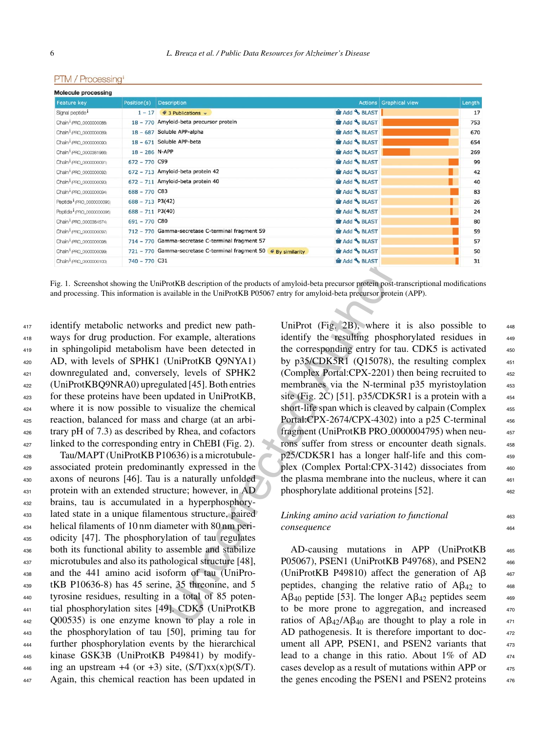| <b>Molecule processing</b><br>Feature key    | Position(s)        | <b>Description</b>                                                                                                                                                                                                                                            |                                                                                            | Length<br>Actions   Graphical view                                                                                                                                                                                                                                   |
|----------------------------------------------|--------------------|---------------------------------------------------------------------------------------------------------------------------------------------------------------------------------------------------------------------------------------------------------------|--------------------------------------------------------------------------------------------|----------------------------------------------------------------------------------------------------------------------------------------------------------------------------------------------------------------------------------------------------------------------|
| Signal peptide <sup>1</sup>                  |                    | $1 - 17$ $\bullet$ 3 Publications $\bullet$                                                                                                                                                                                                                   | <b>BLAST</b>                                                                               | 17                                                                                                                                                                                                                                                                   |
| Chain <sup>1</sup> (PRO_0000000088)          |                    | 18 - 770 Amyloid-beta precursor protein                                                                                                                                                                                                                       | <b>BLAST</b>                                                                               | 753                                                                                                                                                                                                                                                                  |
| Chain <sup>1</sup> (PRO_0000000089)          |                    | 18 - 687 Soluble APP-alpha                                                                                                                                                                                                                                    | <b>BLAST</b>                                                                               | 670                                                                                                                                                                                                                                                                  |
| Chain <sup>1</sup> (PRO_0000000090)          |                    | 18 - 671 Soluble APP-beta                                                                                                                                                                                                                                     | <b><i>a</i></b> Add <b>b</b> BLAST                                                         | 654                                                                                                                                                                                                                                                                  |
| Chain <sup>1</sup> (PRO_0000381966)          | $18 - 286$ N-APP   |                                                                                                                                                                                                                                                               | <b>BLAST</b>                                                                               | 269                                                                                                                                                                                                                                                                  |
| Chain <sup>1</sup> (PRO_0000000091)          | 672 - 770 C99      |                                                                                                                                                                                                                                                               | <b>BLAST</b>                                                                               | 99                                                                                                                                                                                                                                                                   |
| Chain <sup>1</sup> (PRO_0000000092)          |                    | 672 - 713 Amyloid-beta protein 42                                                                                                                                                                                                                             | <b>BLAST</b>                                                                               | 42                                                                                                                                                                                                                                                                   |
| Chain <sup>1</sup> (PRO_0000000093)          |                    | 672 - 711 Amyloid-beta protein 40                                                                                                                                                                                                                             | <b>BLAST</b>                                                                               | 40                                                                                                                                                                                                                                                                   |
| Chain <sup>1</sup> (PRO_0000000094)          | 688 - 770 C83      |                                                                                                                                                                                                                                                               | <b>BLAST</b>                                                                               | 83                                                                                                                                                                                                                                                                   |
| Peptide <sup>i</sup> (PRO_0000000095)        | $688 - 713$ P3(42) |                                                                                                                                                                                                                                                               | <b><i>a</i></b> Add & BLAST                                                                | 26                                                                                                                                                                                                                                                                   |
| Peptide <sup><i>i</i></sup> (PRO_0000000096) | $688 - 711$ P3(40) |                                                                                                                                                                                                                                                               | <b>BLAST</b>                                                                               | 24                                                                                                                                                                                                                                                                   |
| Chain <sup>1</sup> (PRO_0000384574)          | 691 - 770 C80      |                                                                                                                                                                                                                                                               | <b>BLAST</b>                                                                               | 80                                                                                                                                                                                                                                                                   |
| Chain <sup>1</sup> (PRO_000000097)           |                    | 712 - 770 Gamma-secretase C-terminal fragment 59                                                                                                                                                                                                              | <b>BLAST</b>                                                                               | 59                                                                                                                                                                                                                                                                   |
| Chain <sup>1</sup> (PRO_0000000098)          |                    | 714 - 770 Gamma-secretase C-terminal fragment 57                                                                                                                                                                                                              | <b>BLAST</b>                                                                               | 57                                                                                                                                                                                                                                                                   |
| Chain <sup>1</sup> (PRO_0000000099)          |                    | 721 - 770 Gamma-secretase C-terminal fragment 50 . By similarity                                                                                                                                                                                              | <b>the Add &amp; BLAST</b>                                                                 | 50                                                                                                                                                                                                                                                                   |
| Chain <sup>1</sup> (PRO_0000000100)          | 740 - 770 C31      |                                                                                                                                                                                                                                                               | <b>BLAST</b>                                                                               | 31                                                                                                                                                                                                                                                                   |
|                                              |                    | AD, with levels of SPHK1 (UniProtKB Q9NYA1)<br>downregulated and, conversely, levels of SPHK2<br>(UniProtKBQ9NRA0) upregulated [45]. Both entries<br>for these proteins have been updated in UniProtKB,<br>where it is now possible to visualize the chemical |                                                                                            | by p35/CDK5R1 (Q15078), the resulting complet<br>(Complex Portal:CPX-2201) then being recruited to<br>membranes via the N-terminal p35 myristoylation<br>site (Fig. 2C) [51]. $p35/CDK5R1$ is a protein with<br>short-life span which is cleaved by calpain (Compler |
|                                              |                    | reaction, balanced for mass and charge (at an arbi-<br>trary pH of 7.3) as described by Rhea, and cofactors<br>linked to the corresponding entry in ChEBI (Fig. 2).                                                                                           |                                                                                            | Portal:CPX-2674/CPX-4302) into a p25 C-termina<br>fragment (UniProtKB PRO_0000004795) when neu<br>rons suffer from stress or encounter death signals                                                                                                                 |
|                                              |                    | Tau/MAPT (UniProtKB P10636) is a microtubule-                                                                                                                                                                                                                 |                                                                                            | p25/CDK5R1 has a longer half-life and this com                                                                                                                                                                                                                       |
|                                              |                    | associated protein predominantly expressed in the                                                                                                                                                                                                             |                                                                                            |                                                                                                                                                                                                                                                                      |
|                                              |                    | axons of neurons [46]. Tau is a naturally unfolded<br>protein with an extended structure; however, in AD                                                                                                                                                      | plex (Complex Portal:CPX-3142) dissociates from<br>phosphorylate additional proteins [52]. | the plasma membrane into the nucleus, where it can                                                                                                                                                                                                                   |
|                                              |                    | brains, tau is accumulated in a hyperphosphory-<br>lated state in a unique filamentous structure, paired<br>helical filaments of 10 nm diameter with 80 nm peri-<br>odicity [47]. The phosphorylation of tau regulates                                        | Linking amino acid variation to functional<br>consequence                                  |                                                                                                                                                                                                                                                                      |

### **PTM / Processing**

Fig. 1. Screenshot showing the UniProtKB description of the products of amyloid-beta precursor protein post-transcriptional modifications and processing. This information is available in the UniProtKB P05067 entry for amyloid-beta precursor protein (APP).

 identify metabolic networks and predict new path- ways for drug production. For example, alterations in sphingolipid metabolism have been detected in AD, with levels of SPHK1 (UniProtKB Q9NYA1) downregulated and, conversely, levels of SPHK2 (UniProtKBQ9NRA0) upregulated [45]. Both entries for these proteins have been updated in UniProtKB, where it is now possible to visualize the chemical reaction, balanced for mass and charge (at an arbi- trary pH of 7.3) as described by Rhea, and cofactors <sup>427</sup> linked to the corresponding entry in ChEBI (Fig. 2).

 Tau/MAPT (UniProtKB P10636) is a microtubule- associated protein predominantly expressed in the axons of neurons [46]. Tau is a naturally unfolded protein with an extended structure; however, in AD brains, tau is accumulated in a hyperphosphory- lated state in a unique filamentous structure, paired helical filaments of 10 nm diameter with 80 nm peri- odicity [47]. The phosphorylation of tau regulates both its functional ability to assemble and stabilize microtubules and also its pathological structure [48], and the 441 amino acid isoform of tau (UniPro- tKB P10636-8) has 45 serine, 35 threonine, and 5 tyrosine residues, resulting in a total of 85 poten- tial phosphorylation sites [49]. CDK5 (UniProtKB Q00535) is one enzyme known to play a role in the phosphorylation of tau [50], priming tau for further phosphorylation events by the hierarchical kinase GSK3B (UniProtKB P49841) by modify- $_{446}$  ing an upstream +4 (or +3) site,  $(S/T)xx(x)p(S/T)$ . Again, this chemical reaction has been updated in

UniProt (Fig. 2B), where it is also possible to  $448$ identify the resulting phosphorylated residues in 449 the corresponding entry for tau. CDK5 is activated  $450$ by  $p35/CDK5R1$  (Q15078), the resulting complex  $451$ (Complex Portal:CPX-2201) then being recruited to <sup>452</sup> membranes via the N-terminal p35 myristoylation 453 site (Fig. 2C) [51]. p35/CDK5R1 is a protein with a  $454$ short-life span which is cleaved by calpain (Complex  $455$ Portal: $CPX-2674/CPX-4302$ ) into a p25 C-terminal  $456$ fragment (UniProtKB PRO 0000004795) when neurons suffer from stress or encounter death signals. 458 p25/CDK5R1 has a longer half-life and this com- <sup>459</sup> plex (Complex Portal:CPX-3142) dissociates from 460 the plasma membrane into the nucleus, where it can  $461$ phosphorylate additional proteins [52]. 462

# *Linking amino acid variation to functional*  $463$ *consequence* 464

AD-causing mutations in APP (UniProtKB <sup>465</sup> P05067), PSEN1 (UniProtKB P49768), and PSEN2 466 (UniProtKB P49810) affect the generation of  $\overrightarrow{AB}$ peptides, changing the relative ratio of  $A\beta_{42}$  to  $A\beta_{40}$  peptide [53]. The longer  $A\beta_{42}$  peptides seem to be more prone to aggregation, and increased 470 ratios of  $A\beta_{42}/A\beta_{40}$  are thought to play a role in AD pathogenesis. It is therefore important to document all APP, PSEN1, and PSEN2 variants that lead to a change in this ratio. About  $1\%$  of AD cases develop as a result of mutations within APP or the genes encoding the PSEN1 and PSEN2 proteins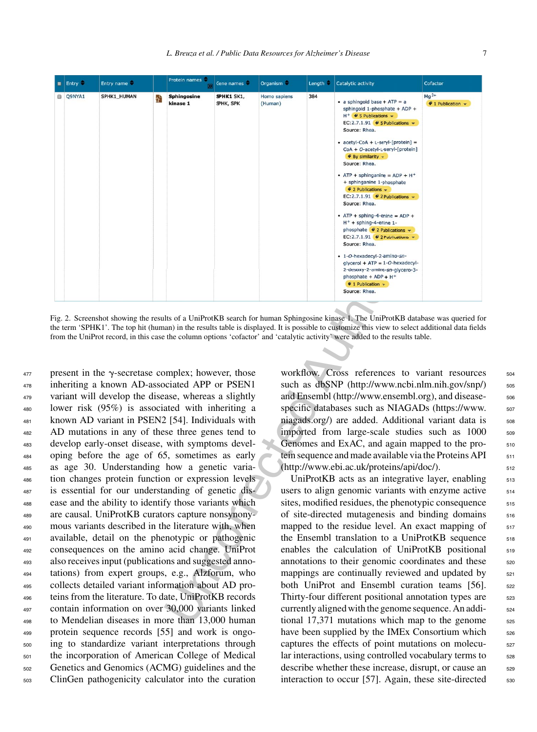| Entry<br>Entry name $\Rightarrow$                                                                                                                                                                                                                                                                                                                                                                                                                                                                                                                                                                                                                                                                                                                                                                                                                                                                                                                                                                                                                                                                                                                                                                                                                                                                                                                                                                                                                                                                                                      | Protein names                  | Gene names              | Organism <sup>e</sup>   | Length = | Catalytic activity                                                                                                                                                                                                                                                                                                                                                                                                                                                                                                                                                                                                                                                                                                                                                                                                                                                                                                                                                     | Cofactor                                 |
|----------------------------------------------------------------------------------------------------------------------------------------------------------------------------------------------------------------------------------------------------------------------------------------------------------------------------------------------------------------------------------------------------------------------------------------------------------------------------------------------------------------------------------------------------------------------------------------------------------------------------------------------------------------------------------------------------------------------------------------------------------------------------------------------------------------------------------------------------------------------------------------------------------------------------------------------------------------------------------------------------------------------------------------------------------------------------------------------------------------------------------------------------------------------------------------------------------------------------------------------------------------------------------------------------------------------------------------------------------------------------------------------------------------------------------------------------------------------------------------------------------------------------------------|--------------------------------|-------------------------|-------------------------|----------|------------------------------------------------------------------------------------------------------------------------------------------------------------------------------------------------------------------------------------------------------------------------------------------------------------------------------------------------------------------------------------------------------------------------------------------------------------------------------------------------------------------------------------------------------------------------------------------------------------------------------------------------------------------------------------------------------------------------------------------------------------------------------------------------------------------------------------------------------------------------------------------------------------------------------------------------------------------------|------------------------------------------|
| Q9NYA1<br>SPHK1_HUMAN                                                                                                                                                                                                                                                                                                                                                                                                                                                                                                                                                                                                                                                                                                                                                                                                                                                                                                                                                                                                                                                                                                                                                                                                                                                                                                                                                                                                                                                                                                                  | <b>Sphingosine</b><br>kinase 1 | SPHK1 SK1,<br>SPHK, SPK | Homo sapiens<br>(Human) | 384      | • a sphingoid base + $ATP = a$<br>sphingoid 1-phosphate + ADP +<br>$H^+$ $\blacklozenge$ 5 Publications $\blacktriangleright$<br>EC:2.7.1.91 $\blacklozenge$ 5 Publications $\blacktriangledown$<br>Source: Rhea.<br>• acetyl-CoA + L-seryl-[protein] =<br>CoA + O-acetyl-L-seryl-[protein]<br>$\bullet$ By similarity $\sim$<br>Source: Rhea.<br>• $ATP$ + sphinganing = $ADP$ + $H+$<br>+ sphinganine 1-phosphate<br>$\bullet$ 2 Publications $\bullet$<br>EC:2.7.1.91 $\blacklozenge$ 2 Publications $\blacktriangledown$<br>Source: Rhea.<br>$\bullet$ ATP + sphing-4-enine = ADP +<br>$H^+$ + sphing-4-enine 1-<br>phosphate $\bigotimes$ 2 Publications $\bigtriangledown$<br>EC:2.7.1.91 $\blacklozenge$ 2 Publications $\blacktriangledown$<br>Source: Rhea.<br>- 1-O-hexadecyl-2-amino-sn-<br>$glycerol + ATP = 1-O-hexadecyl-$<br>2-desoxy-2-amino-sn-glycero-3-<br>phosphate + ADP + H <sup>+</sup><br>$\bigcirc$ 1 Publication $\bigcirc$<br>Source: Rhea. | $Mg^{2+}$<br>$4$ 1 Publication $\sqrt{}$ |
| Fig. 2. Screenshot showing the results of a UniProtKB search for human Sphingosine kinase 1. The UniProtKB database was queried fo<br>the term 'SPHK1'. The top hit (human) in the results table is displayed. It is possible to customize this view to select additional data field<br>from the UniProt record, in this case the column options 'cofactor' and 'catalytic activity' were added to the results table.<br>present in the $\gamma$ -secretase complex; however, those<br>inheriting a known AD-associated APP or PSEN1<br>variant will develop the disease, whereas a slightly<br>lower risk (95%) is associated with inheriting a<br>known AD variant in PSEN2 [54]. Individuals with<br>AD mutations in any of these three genes tend to<br>develop early-onset disease, with symptoms devel-<br>oping before the age of 65, sometimes as early<br>as age 30. Understanding how a genetic varia-<br>tion changes protein function or expression levels<br>is essential for our understanding of genetic dis-<br>ease and the ability to identify those variants which<br>are causal. UniProtKB curators capture nonsynony-<br>mous variants described in the literature with, when<br>available, detail on the phenotypic or pathogenic<br>consequences on the amino acid change. UniProt<br>also receives input (publications and suggested anno-<br>tations) from expert groups, e.g., Alzforum, who<br>collects detailed variant information about AD pro-<br>teins from the literature. To date, UniProtKB records |                                |                         |                         |          | workflow. Cross references to variant resource<br>such as dbSNP (http://www.ncbi.nlm.nih.gov/snp.<br>and Ensembl (http://www.ensembl.org), and disease<br>specific databases such as NIAGADs (https://www<br>niagads.org/) are added. Additional variant data i<br>imported from large-scale studies such as 100<br>Genomes and ExAC, and again mapped to the pro-<br>tein sequence and made available via the Proteins AF<br>(http://www.ebi.ac.uk/proteins/api/doc/).<br>UniProtKB acts as an integrative layer, enablin<br>users to align genomic variants with enzyme activ<br>sites, modified residues, the phenotypic consequence<br>of site-directed mutagenesis and binding domain<br>mapped to the residue level. An exact mapping o<br>the Ensembl translation to a UniProtKB sequence<br>enables the calculation of UniProtKB positiona<br>annotations to their genomic coordinates and thes                                                                |                                          |

Fig. 2. Screenshot showing the results of a UniProtKB search for human Sphingosine kinase 1. The UniProtKB database was queried for the term 'SPHK1'. The top hit (human) in the results table is displayed. It is possible to customize this view to select additional data fields from the UniProt record, in this case the column options 'cofactor' and 'catalytic activity' were added to the results table.

 present in the  $\gamma$ -secretase complex; however, those inheriting a known AD-associated APP or PSEN1 variant will develop the disease, whereas a slightly lower risk (95%) is associated with inheriting a known AD variant in PSEN2 [54]. Individuals with AD mutations in any of these three genes tend to develop early-onset disease, with symptoms devel- oping before the age of 65, sometimes as early as age 30. Understanding how a genetic varia- tion changes protein function or expression levels is essential for our understanding of genetic dis- ease and the ability to identify those variants which are causal. UniProtKB curators capture nonsynony- mous variants described in the literature with, when available, detail on the phenotypic or pathogenic consequences on the amino acid change. UniProt also receives input (publications and suggested anno- tations) from expert groups, e.g., Alzforum, who collects detailed variant information about AD pro- teins from the literature. To date, UniProtKB records contain information on over 30,000 variants linked to Mendelian diseases in more than 13,000 human protein sequence records [55] and work is ongo- ing to standardize variant interpretations through the incorporation of American College of Medical Genetics and Genomics (ACMG) guidelines and the ClinGen pathogenicity calculator into the curation

workflow. Cross references to variant resources 504 such as dbSNP ([http://www.ncbi.nlm.nih.gov/snp/\)](http://www.ncbi.nlm.nih.gov/snp/) 505 and Ensembl (http://www.ensembl.org), and disease-  $506$ specific databases such as NIAGADs [\(https://www.](https://www.niagads.org/) 507 niagads.org/) are added. Additional variant data is 508 imported from large-scale studies such as 1000 509 Genomes and ExAC, and again mapped to the protein sequence and made available via the Proteins API  $\qquad 511$ (http://www.ebi.ac.uk/proteins/api/doc/). 512

UniProtKB acts as an integrative layer, enabling 513 users to align genomic variants with enzyme active  $514$ sites, modified residues, the phenotypic consequence  $\frac{515}{2}$ of site-directed mutagenesis and binding domains  $516$ mapped to the residue level. An exact mapping of  $517$ the Ensembl translation to a UniProtKB sequence 518 enables the calculation of UniProtKB positional  $_{519}$ annotations to their genomic coordinates and these  $520$ mappings are continually reviewed and updated by  $521$ both UniProt and Ensembl curation teams [56]. <sub>522</sub> Thirty-four different positional annotation types are 523 currently aligned with the genome sequence. An additional  $17,371$  mutations which map to the genome  $525$ have been supplied by the IMEx Consortium which <sub>526</sub> captures the effects of point mutations on molecular interactions, using controlled vocabulary terms to  $\frac{528}{20}$ describe whether these increase, disrupt, or cause an <sub>529</sub> interaction to occur [57]. Again, these site-directed 530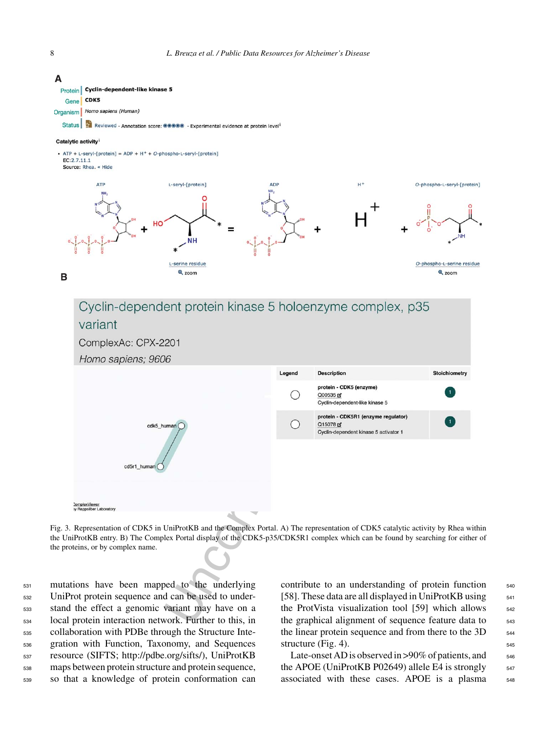



Fig. 3. Representation of CDK5 in UniProtKB and the Complex Portal. A) The representation of CDK5 catalytic activity by Rhea within the UniProtKB entry. B) The Complex Portal display of the CDK5-p35/CDK5R1 complex which can be found by searching for either of the proteins, or by complex name.

 mutations have been mapped to the underlying UniProt protein sequence and can be used to under- stand the effect a genomic variant may have on a local protein interaction network. Further to this, in collaboration with PDBe through the Structure Inte- gration with Function, Taxonomy, and Sequences resource (SIFTS; [http://pdbe.org/sifts/\)](http://pdbe.org/sifts/), UniProtKB maps between protein structure and protein sequence, so that a knowledge of protein conformation can

contribute to an understanding of protein function  $540$ [58]. These data are all displayed in UniProtKB using  $541$ the ProtVista visualization tool [59] which allows  $_{542}$ the graphical alignment of sequence feature data to 543 the linear protein sequence and from there to the 3D  $\frac{544}{544}$ structure  $(Fig. 4)$ .

Late-onset AD is observed in  $>90\%$  of patients, and  $_{546}$ the APOE (UniProtKB P02649) allele E4 is strongly  $_{547}$ associated with these cases. APOE is a plasma <sup>548</sup>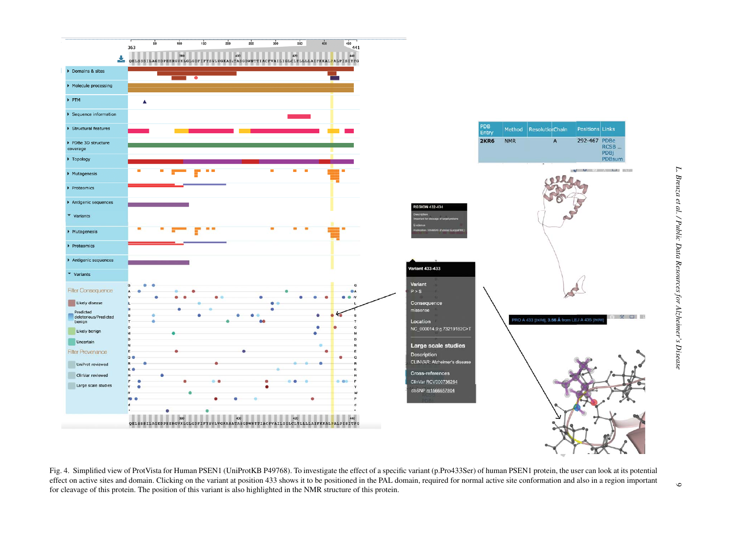

for cleavage of this protein. The position of this variant is also highlighted in the NMR structure of this protein.

Fig. 4. Simplified view of ProtVista for Human PSEN1 (UniProtKB P49768). To investigate the effect of a specific variant (p.Pro433Ser) of human PSEN1 protein, the user can look at its potential effect on active sites and d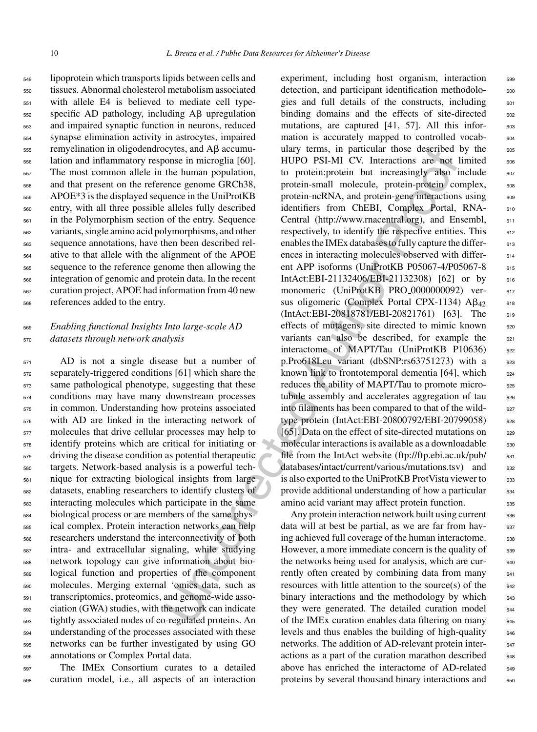lipoprotein which transports lipids between cells and tissues. Abnormal cholesterol metabolism associated with allele E4 is believed to mediate cell type- specific AD pathology, including A $\beta$  upregulation and impaired synaptic function in neurons, reduced synapse elimination activity in astrocytes, impaired remyelination in oligodendrocytes, and A $\beta$  accumu- lation and inflammatory response in microglia [60]. The most common allele in the human population, and that present on the reference genome GRCh38, APOE\*3 is the displayed sequence in the UniProtKB entry, with all three possible alleles fully described in the Polymorphism section of the entry. Sequence variants, single amino acid polymorphisms, and other sequence annotations, have then been described rel- ative to that allele with the alignment of the APOE sequence to the reference genome then allowing the integration of genomic and protein data. In the recent curation project, APOE had information from 40 new references added to the entry.

# <sup>569</sup> *Enabling functional Insights Into large-scale AD* <sup>570</sup> *datasets through network analysis*

 AD is not a single disease but a number of separately-triggered conditions [61] which share the same pathological phenotype, suggesting that these conditions may have many downstream processes in common. Understanding how proteins associated with AD are linked in the interacting network of molecules that drive cellular processes may help to identify proteins which are critical for initiating or driving the disease condition as potential therapeutic targets. Network-based analysis is a powerful tech- nique for extracting biological insights from large datasets, enabling researchers to identify clusters of interacting molecules which participate in the same biological process or are members of the same phys- ical complex. Protein interaction networks can help researchers understand the interconnectivity of both intra- and extracellular signaling, while studying network topology can give information about bio- logical function and properties of the component molecules. Merging external 'omics data, such as transcriptomics, proteomics, and genome-wide asso- ciation (GWA) studies, with the network can indicate tightly associated nodes of co-regulated proteins. An understanding of the processes associated with these networks can be further investigated by using GO annotations or Complex Portal data.

<sup>597</sup> The IMEx Consortium curates to a detailed <sup>598</sup> curation model, i.e., all aspects of an interaction

eyts, and Ali accurate us of the more than the more in microglia folicity and the burnon in the more in the Uni[Pro](http://www.rnacentral.org)OFSI-MI CV. Interactions are not the human population, to protein-protein but interactingly also provide met experiment, including host organism, interaction 599 detection, and participant identification methodolo- 600 gies and full details of the constructs, including  $\frac{601}{601}$ binding domains and the effects of site-directed 602 mutations, are captured  $[41, 57]$ . All this infor- 603 mation is accurately mapped to controlled vocab- 604 ulary terms, in particular those described by the 605 HUPO PSI-MI CV. Interactions are not limited 606 to protein: protein but increasingly also include  $607$ protein-small molecule, protein-protein complex, 608 protein-ncRNA, and protein-gene interactions using 609 identifiers from ChEBI, Complex Portal, RNA- 610 Central (http://www.rnacentral.org), and Ensembl, 611 respectively, to identify the respective entities. This 612 enables the IMEx databases to fully capture the differ-<br> $613$ ences in interacting molecules observed with differ-<br><sub>614</sub> ent APP isoforms (UniProtKB P05067-4/P05067-8 615 IntAct:EBI-21132406/EBI-21132308) [62] or by 616 monomeric (UniProtKB PRO 0000000092) ver- 617 sus oligomeric (Complex Portal CPX-1134)  $\mathsf{A}\beta_{42}$  618 (IntAct:EBI-20818781/EBI-20821761) [63]. The <sup>619</sup> effects of mutagens, site directed to mimic known  $\epsilon_{020}$ variants can also be described, for example the  $621$ interactome of MAPT/Tau (UniProtKB P10636) 622 p.Pro618Leu variant (dbSNP:rs63751273) with a  $623$ known link to frontotemporal dementia  $[64]$ , which  $624$ reduces the ability of MAPT/Tau to promote microtubule assembly and accelerates aggregation of tau 626 into filaments has been compared to that of the wild- 627 type protein (IntAct:EBI-20800792/EBI-20799058) 628 [65]. Data on the effect of site-directed mutations on  $629$ molecular interactions is available as a downloadable  $\qquad$  630 file from the IntAct website (ftp://ftp.ebi.ac.uk/pub/ 631 databases/intact/current/various/mutations.tsv) and 632 is also exported to the UniProtKB ProtVista viewer to 633 provide additional understanding of how a particular 634 amino acid variant may affect protein function. 635

Any protein interaction network built using current 636 data will at best be partial, as we are far from having achieved full coverage of the human interactome. 638 However, a more immediate concern is the quality of  $\qquad$  639 the networks being used for analysis, which are currently often created by combining data from many 641 resources with little attention to the source(s) of the  $\frac{642}{642}$ binary interactions and the methodology by which 643 they were generated. The detailed curation model 644 of the IMEx curation enables data filtering on many 645 levels and thus enables the building of high-quality 646 networks. The addition of AD-relevant protein interactions as a part of the curation marathon described 648 above has enriched the interactome of AD-related 649 proteins by several thousand binary interactions and 650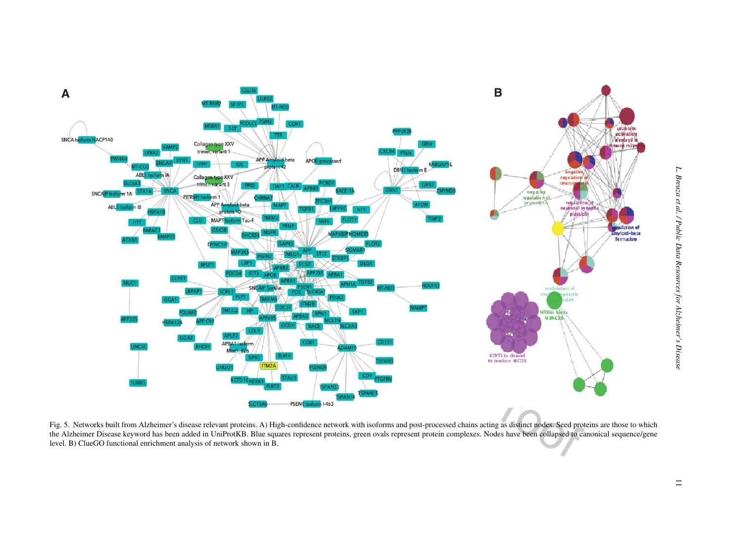

Fig. 5. Networks built from Alzheimer's disease relevant proteins. A) High-confidence network with isoforms and post-processed chains acting as distinct nodes. Seed proteins are those to which the Alzheimer Disease keyword has been added in UniProtKB. Blue squares represen<sup>t</sup> proteins, green ovals represen<sup>t</sup> protein complexes. Nodes have been collapsed to canonical sequence/gene level. B) ClueGO functional enrichment analysis of network shown in B.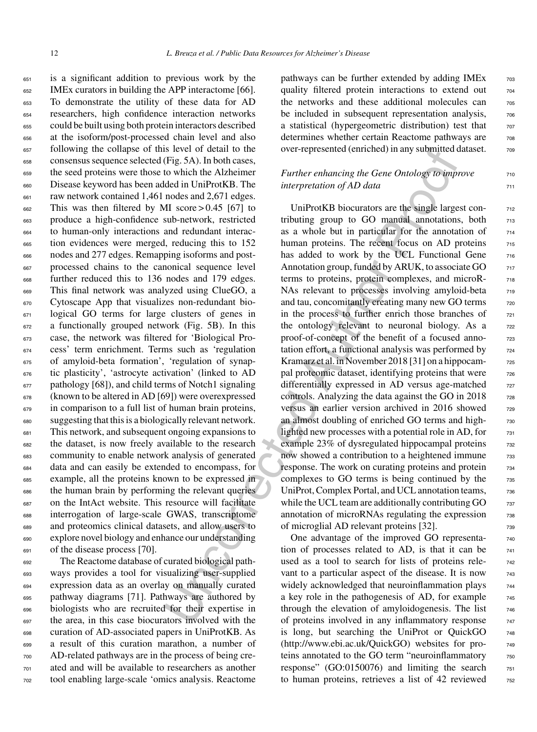is a significant addition to previous work by the 652 IMEx curators in building the APP interactome [66]. To demonstrate the utility of these data for AD researchers, high confidence interaction networks could be built using both protein interactors described at the isoform/post-processed chain level and also following the collapse of this level of detail to the consensus sequence selected (Fig. 5A). In both cases, the seed proteins were those to which the Alzheimer Disease keyword has been added in UniProtKB. The <sup>661</sup> raw network contained 1,461 nodes and 2,671 edges. This was then filtered by MI score > 0.45 [67] to produce a high-confidence sub-network, restricted to human-only interactions and redundant interac- tion evidences were merged, reducing this to 152 nodes and 277 edges. Remapping isoforms and post- processed chains to the canonical sequence level further reduced this to 136 nodes and 179 edges. This final network was analyzed using ClueGO, a Cytoscape App that visualizes non-redundant bio- logical GO terms for large clusters of genes in a functionally grouped network (Fig. 5B). In this case, the network was filtered for 'Biological Pro- cess' term enrichment. Terms such as 'regulation of amyloid-beta formation', 'regulation of synap- tic plasticity', 'astrocyte activation' (linked to AD 677 pathology [68]), and child terms of Notch1 signaling (known to be altered in AD [69]) were overexpressed in comparison to a full list of human brain proteins, suggesting that this is a biologically relevant network. This network, and subsequent ongoing expansions to the dataset, is now freely available to the research community to enable network analysis of generated data and can easily be extended to encompass, for example, all the proteins known to be expressed in the human brain by performing the relevant queries on the IntAct website. This resource will facilitate interrogation of large-scale GWAS, transcriptome and proteomics clinical datasets, and allow users to explore novel biology and enhance our understanding of the disease process [70].

 The Reactome database of curated biological path- ways provides a tool for visualizing user-supplied expression data as an overlay on manually curated pathway diagrams [71]. Pathways are authored by biologists who are recruited for their expertise in the area, in this case biocurators involved with the curation of AD-associated papers in UniProtKB. As a result of this curation marathon, a number of AD-related pathways are in the process of being cre- ated and will be available to researchers as another tool enabling large-scale 'omics analysis. Reactome pathways can be further extended by adding IMEx  $\frac{703}{703}$ quality filtered protein interactions to extend out  $704$ the networks and these additional molecules can  $\frac{705}{205}$ be included in subsequent representation analysis,  $\frac{706}{600}$ a statistical (hypergeometric distribution) test that  $707$ determines whether certain Reactome pathways are  $708$ over-represented (enriched) in any submitted dataset.  $\frac{708}{200}$ 

# *Further enhancing the Gene Ontology to improve*  $\frac{1}{710}$ *interpretation of AD data* 711

is level of detail to the<br>
with the Albertian of the method of the ingluential of the interpretation of AD data<br>
to which Albertian Charles and 2.671 edges.<br>
Helia DiPirotKB The *Eurlier enhancing the Gene Ontology to imp* UniProtKB biocurators are the single largest contributing group to  $GO$  manual annotations, both  $713$ as a whole but in particular for the annotation of  $\frac{714}{60}$ human proteins. The recent focus on AD proteins  $<sub>715</sub>$ </sub> has added to work by the UCL Functional Gene 716 Annotation group, funded by ARUK, to associate  $GO$   $717$ terms to proteins, protein complexes, and microR-<br>  $718$ NAs relevant to processes involving amyloid-beta  $_{719}$ and tau, concomitantly creating many new GO terms  $220$ in the process to further enrich those branches of  $\frac{721}{721}$ the ontology relevant to neuronal biology. As a  $722$ proof-of-concept of the benefit of a focused annotation effort, a functional analysis was performed by  $\frac{724}{724}$ Kramarz et al. in November 2018 [31] on a hippocampal proteomic dataset, identifying proteins that were  $\frac{726}{200}$ differentially expressed in AD versus age-matched  $\frac{727}{6}$ controls. Analyzing the data against the GO in 2018  $\frac{1}{288}$ versus an earlier version archived in 2016 showed  $\frac{728}{20}$ an almost doubling of enriched GO terms and high-<br>  $730$ lighted new processes with a potential role in AD, for  $\frac{731}{731}$ example 23% of dysregulated hippocampal proteins  $\frac{732}{100}$ now showed a contribution to a heightened immune  $\frac{733}{2}$ response. The work on curating proteins and protein  $\frac{734}{734}$ complexes to GO terms is being continued by the  $\frac{735}{60}$ UniProt, Complex Portal, and UCL annotation teams,  $\frac{736}{2}$ while the UCL team are additionally contributing  $GO$   $737$ annotation of microRNAs regulating the expression  $\frac{738}{2}$ of microglial AD relevant proteins [32].  $\frac{738}{2}$ 

One advantage of the improved GO representation of processes related to AD, is that it can be  $\frac{741}{741}$ used as a tool to search for lists of proteins rele-<br> $742$ vant to a particular aspect of the disease. It is now  $\frac{743}{2}$ widely acknowledged that neuroinflammation plays  $_{744}$ a key role in the pathogenesis of AD, for example  $\frac{745}{60}$ through the elevation of amyloidogenesis. The list  $_{746}$ of proteins involved in any inflammatory response 747 is long, but searching the UniProt or QuickGO 748 [\(http://www.ebi.ac.uk/QuickGO\)](http://www.ebi.ac.uk/QuickGO) websites for pro- <sup>749</sup> teins annotated to the GO term "neuroinflammatory  $\frac{750}{750}$ response" (GO:0150076) and limiting the search  $751$ to human proteins, retrieves a list of 42 reviewed  $752$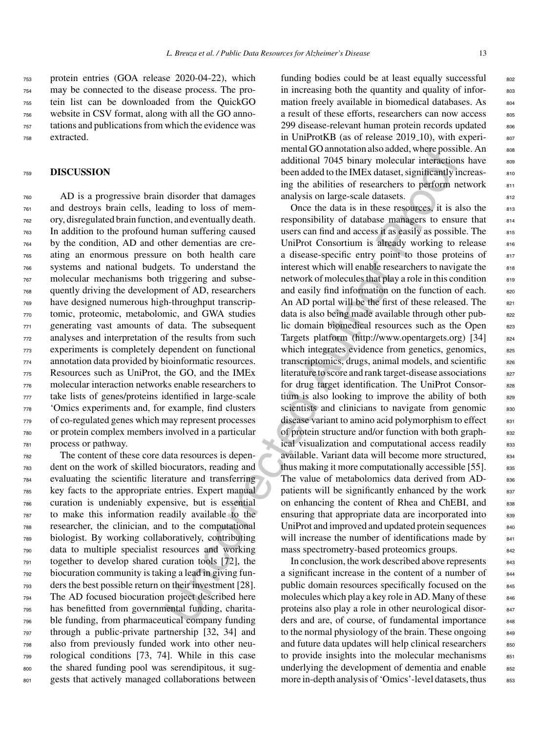protein entries (GOA release 2020-04-22), which may be connected to the disease process. The pro- tein list can be downloaded from the QuickGO website in CSV format, along with all the GO anno- tations and publications from which the evidence was extracted.

# <sup>759</sup> **DISCUSSION**

 AD is a progressive brain disorder that damages and destroys brain cells, leading to loss of mem- ory, disregulated brain function, and eventually death. In addition to the profound human suffering caused by the condition, AD and other dementias are cre- ating an enormous pressure on both health care systems and national budgets. To understand the molecular mechanisms both triggering and subse- quently driving the development of AD, researchers have designed numerous high-throughput transcrip- tomic, proteomic, metabolomic, and GWA studies generating vast amounts of data. The subsequent analyses and interpretation of the results from such experiments is completely dependent on functional annotation data provided by bioinformatic resources. Resources such as UniProt, the GO, and the IMEx molecular interaction networks enable researchers to take lists of genes/proteins identified in large-scale 'Omics experiments and, for example, find clusters of co-regulated genes which may represent processes or protein complex members involved in a particular process or pathway.

 The content of these core data resources is depen- dent on the work of skilled biocurators, reading and evaluating the scientific literature and transferring key facts to the appropriate entries. Expert manual curation is undeniably expensive, but is essential to make this information readily available to the researcher, the clinician, and to the computational biologist. By working collaboratively, contributing data to multiple specialist resources and working together to develop shared curation tools [72], the biocuration community is taking a lead in giving fun- ders the best possible return on their investment [28]. The AD focused biocuration project described here has benefitted from governmental funding, charita- ble funding, from pharmaceutical company funding through a public-private partnership [32, 34] and also from previously funded work into other neu- rological conditions [73, 74]. While in this case the shared funding pool was serendipitous, it sug-gests that actively managed collaborations between

funding bodies could be at least equally successful 802 in increasing both the quantity and quality of information freely available in biomedical databases. As 804 a result of these efforts, researchers can now access 805 299 disease-relevant human protein records updated some in UniProtKB (as of release  $2019-10$ ), with experimental GO annotation also added, where possible. An was additional 7045 binary molecular interactions have some been added to the IMEx dataset, significantly increas-<br>signals ing the abilities of researchers to perform network  $811$ analysis on large-scale datasets.

mental GO annotation also aded, where possible and the mental GO annotation also aded to the IMFx at<br>alasorder that damages and per denoting the abilities of researches tsignificantly ign to loss of mem. Once the data is i Once the data is in these resources, it is also the  $813$ responsibility of database managers to ensure that  $814$ users can find and access it as easily as possible. The  $815$ UniProt Consortium is already working to release 816 a disease-specific entry point to those proteins of 817 interest which will enable researchers to navigate the  $\qquad$ network of molecules that play a role in this condition  $\frac{818}{210}$ and easily find information on the function of each. 820 An AD portal will be the first of these released. The 821 data is also being made available through other pub-<br>822 lic domain biomedical resources such as the Open 823 Targets platform [\(http://www.opentargets.org\)](http://www.opentargets.org) [34] 824 which integrates evidence from genetics, genomics, 825 transcriptomics, drugs, animal models, and scientific 826 literature to score and rank target-disease associations 827 for drug target identification. The UniProt Consortium is also looking to improve the ability of both  $829$ scientists and clinicians to navigate from genomic 830 disease variant to amino acid polymorphism to effect 831 of protein structure and/or function with both graph-<br>832 ical visualization and computational access readily s33 available. Variant data will become more structured, 834 thus making it more computationally accessible [55]. 835 The value of metabolomics data derived from AD- 836 patients will be significantly enhanced by the work 837 on enhancing the content of Rhea and ChEBI, and 838 ensuring that appropriate data are incorporated into  $\qquad$  839 UniProt and improved and updated protein sequences 840 will increase the number of identifications made by 841 mass spectrometry-based proteomics groups. 842

In conclusion, the work described above represents  $\frac{843}{843}$ a significant increase in the content of a number of 844 public domain resources specifically focused on the 845 molecules which play a key role in AD. Many of these 846 proteins also play a role in other neurological disorders and are, of course, of fundamental importance 848 to the normal physiology of the brain. These ongoing 849 and future data updates will help clinical researchers  $850$ to provide insights into the molecular mechanisms  $851$ underlying the development of dementia and enable 852 more in-depth analysis of 'Omics'-level datasets, thus 853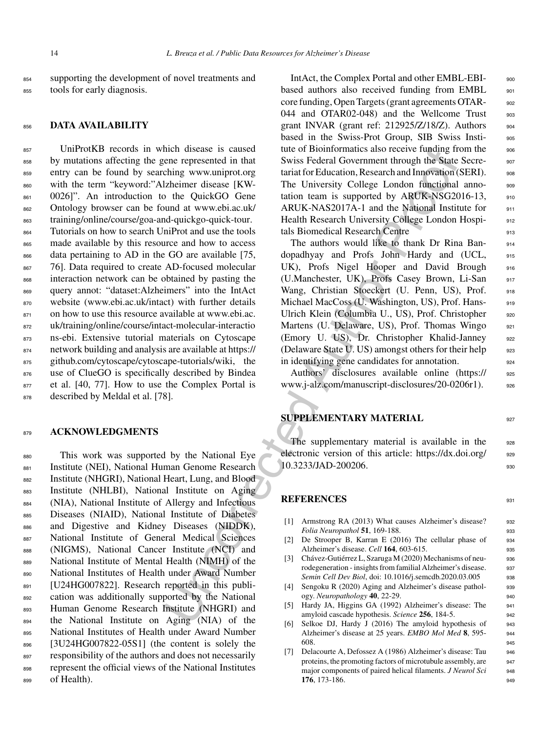<sup>854</sup> supporting the development of novel treatments and <sup>855</sup> tools for early diagnosis.

## <sup>856</sup> **DATA AVAILABILITY**

neare is [c](https://dx.doi.org/10.3233/JAD-200206)aused title of Biomformatics also receive funding<br>[th](www.ebi.ac.uk/training/online/course/intact-molecular-interactions-ebi)e Mathematics and the of the members of the Mathematics and the State<br>ching www.mip[ro](www.ebi.ac.uk/training/online/course/goa-and-quickgo-quick-tour)t.org tariat for Education, Research and Innovation the QuickGO Gene<br>tatio UniProtKB records in which disease is caused by mutations affecting the gene represented in that entry can be found by searching www.uniprot.org with the term "keyword:"Alzheimer disease [KW- 0026]". An introduction to the QuickGO Gene Ontology browser can be found at www.ebi.ac.uk/ 863 training/online/course/goa-and-quickgo-quick-tour. Tutorials on how to search UniProt and use the tools made available by this resource and how to access data pertaining to AD in the GO are available [75, 867 76]. Data required to create AD-focused molecular interaction network can be obtained by pasting the query annot: "dataset:Alzheimers" into the IntAct website (<www.ebi.ac.uk/intact>) with further details 871 on how to use this resource available at www.ebi.ac. uk/training/online/course/intact-molecular-interactio ns-ebi. Extensive tutorial materials on Cytoscape network building and analysis are available at https:// 875 github.com/cytoscape/cytoscape-tutorials/wiki, the 876 use of ClueGO is specifically described by Bindea <sup>877</sup> et al. [40, 77]. How to use the Complex Portal is 878 described by Meldal et al. [78].

## 879 **ACKNOWLEDGMENTS**

 This work was supported by the National Eye Institute (NEI), National Human Genome Research Institute (NHGRI), National Heart, Lung, and Blood Institute (NHLBI), National Institute on Aging (NIA), National Institute of Allergy and Infectious Diseases (NIAID), National Institute of Diabetes and Digestive and Kidney Diseases (NIDDK), National Institute of General Medical Sciences (NIGMS), National Cancer Institute (NCI) and National Institute of Mental Health (NIMH) of the National Institutes of Health under Award Number [U24HG007822]. Research reported in this publi- cation was additionally supported by the National Human Genome Research Institute (NHGRI) and 894 the National Institute on Aging (NIA) of the 895 National Institutes of Health under Award Number [3U24HG007822-05S1] (the content is solely the responsibility of the authors and does not necessarily represent the official views of the National Institutes 899 of Health).

IntAct, the Complex Portal and other EMBL-EBI- 900 based authors also received funding from EMBL 901 core funding, Open Targets (grant agreements OTAR- <sup>902</sup> 044 and OTAR02-048) and the Wellcome Trust 903 grant INVAR (grant ref:  $212925/Z/18/Z$ ). Authors 904 based in the Swiss-Prot Group, SIB Swiss Insti- <sup>905</sup> tute of Bioinformatics also receive funding from the 906 Swiss Federal Government through the State Secre- 907 tariat for Education, Research and Innovation (SERI). 908 The University College London functional anno-<br>909 tation team is supported by  $ARUK-NSG2016-13$ , 910 ARUK-NAS2017A-1 and the National Institute for 911 Health Research University College London Hospi- <sup>912</sup> tals Biomedical Research Centre 913

The authors would like to thank Dr Rina Ban-<br>914 dopadhyay and Profs John Hardy and (UCL, <sup>915</sup> UK), Profs Nigel Hooper and David Brough 916 (U.Manchester, UK), Profs Casey Brown, Li-San <sup>917</sup> Wang, Christian Stoeckert (U. Penn, US), Prof. 918 Michael MacCoss (U. Washington, US), Prof. Hans-<br>919 Ulrich Klein (Columbia U., US), Prof. Christopher 920 Martens (U. Delaware, US), Prof. Thomas Wingo 921 (Emory U. US), Dr. Christopher Khalid-Janney 922 (Delaware State  $\overline{U}$ . US) amongst others for their help  $\qquad$  923 in identifying gene candidates for annotation.

Authors' disclosures available online [\(https://](https://www.j-alz.com/manuscript-disclosures/20-0206r1) 925 [www.j-alz.com/manuscript-disclosures/20-0206r1\)](https://www.j-alz.com/manuscript-disclosures/20-0206r1). 926

# **SUPPLEMENTARY MATERIAL** 927

The supplementary material is available in the 928 electronic version of this article: [https://dx.doi.org/](https://dx.doi.org/10.3233/JAD-200206) 929 10.3233/JAD-200206. 930

# **REFERENCES** 931

- [1] Armstrong RA (2013) What causes Alzheimer's disease? 932 *Folia Neuropathol* **51**, 169-188. <sup>933</sup>
- [2] De Strooper B, Karran E (2016) The cellular phase of 934 Alzheimer's disease. *Cell* **164**, 603-615. <sup>935</sup>
- [3] Chávez-Gutiérrez L, Szaruga M (2020) Mechanisms of neu- 936 rodegeneration - insights from familial Alzheimer's disease. <sup>937</sup> *Semin Cell Dev Biol*, doi: 10.1016/j.semcdb.2020.03.005 <sup>938</sup>
- [4] Sengoku R (2020) Aging and Alzheimer's disease pathol- 939 ogy. *Neuropathology* **40**, 22-29. <sup>940</sup>
- [5] Hardy JA, Higgins GA (1992) Alzheimer's disease: The 941 amyloid cascade hypothesis. *Science* **256**, 184-5. <sup>942</sup>
- [6] Selkoe DJ, Hardy J (2016) The amyloid hypothesis of 943 Alzheimer's disease at 25 years. *EMBO Mol Med* **8**, 595- <sup>944</sup> 608. 945
- [7] Delacourte A, Defossez A (1986) Alzheimer's disease: Tau <sup>946</sup> proteins, the promoting factors of microtubule assembly, are 947 major components of paired helical filaments. *J Neurol Sci* <sup>948</sup> **176**, 173-186. <sup>949</sup>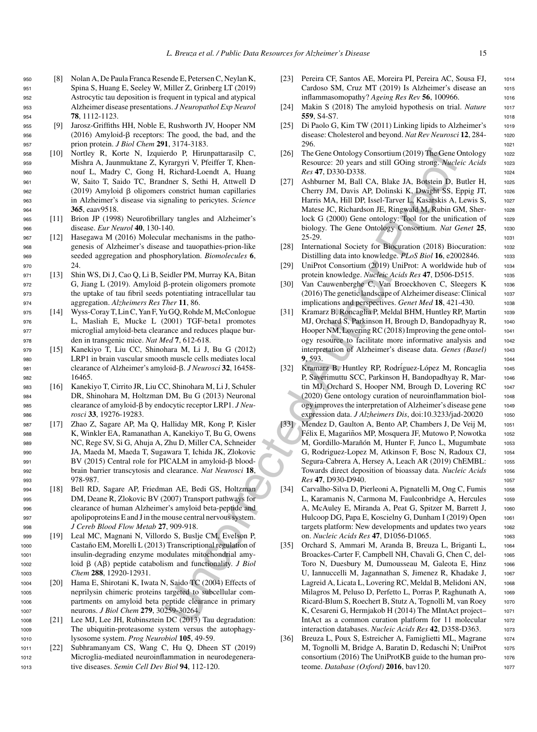- <sup>950</sup> [8] Nolan A, De Paula Franca Resende E, Petersen C, Neylan K, <sup>951</sup> Spina S, Huang E, Seeley W, Miller Z, Grinberg LT (2019) <sup>952</sup> Astrocytic tau deposition is frequent in typical and atypical <sup>953</sup> Alzheimer disease presentations. *J Neuropathol Exp Neurol* <sup>954</sup> **78**, 1112-1123.
- <sup>955</sup> [9] Jarosz-Griffiths HH, Noble E, Rushworth JV, Hooper NM 956 (2016) Amyloid-β receptors: The good, the bad, and the <sup>957</sup> prion protein. *J Biol Chem* **291**, 3174-3183.
- <sup>958</sup> [10] Nortley R, Korte N, Izquierdo P, Hirunpattarasilp C, <sup>959</sup> Mishra A, Jaunmuktane Z, Kyrargyri V, Pfeiffer T, Khen-<sup>960</sup> nouf L, Madry C, Gong H, Richard-Loendt A, Huang <sup>961</sup> W, Saito T, Saido TC, Brandner S, Sethi H, Attwell D 962 (2019) Amyloid β oligomers constrict human capillaries <sup>963</sup> in Alzheimer's disease via signaling to pericytes. *Science* <sup>964</sup> **365**, eaav9518.
- <sup>965</sup> [11] Brion JP (1998) Neurofibrillary tangles and Alzheimer's <sup>966</sup> disease. *Eur Neurol* **40**, 130-140.
- <sup>967</sup> [12] Hasegawa M (2016) Molecular mechanisms in the patho-<sup>968</sup> genesis of Alzheimer's disease and tauopathies-prion-like <sup>969</sup> seeded aggregation and phosphorylation. *Biomolecules* **6**, <sup>970</sup> 24.
- <sup>971</sup> [13] Shin WS, Di J, Cao Q, Li B, Seidler PM, Murray KA, Bitan <sup>972</sup> G, Jiang L (2019). Amyloid --protein oligomers promote <sup>973</sup> the uptake of tau fibril seeds potentiating intracellular tau <sup>974</sup> aggregation. *Alzheimers Res Ther* **11**, 86.
- <sup>975</sup> [14] Wyss-Coray T, Lin C, Yan F, Yu GQ, Rohde M, McConlogue <sup>976</sup> L, Masliah E, Mucke L (2001) TGF-beta1 promotes <sup>977</sup> microglial amyloid-beta clearance and reduces plaque bur-<sup>978</sup> den in transgenic mice. *Nat Med* **7**, 612-618.
- <sup>979</sup> [15] Kanekiyo T, Liu CC, Shinohara M, Li J, Bu G (2012) <sup>980</sup> LRP1 in brain vascular smooth muscle cells mediates local 981 clearance of Alzheimer's amyloid-β. *J Neurosci* 32, 16458-982 16465.
- <sup>983</sup> [16] Kanekiyo T, Cirrito JR, Liu CC, Shinohara M, Li J, Schuler <sup>984</sup> DR, Shinohara M, Holtzman DM, Bu G (2013) Neuronal 985 clearance of amyloid-β by endocytic receptor LRP1. *J Neu-*<sup>986</sup> *rosci* **33**, 19276-19283.
- <sup>987</sup> [17] Zhao Z, Sagare AP, Ma Q, Halliday MR, Kong P, Kisler <sup>988</sup> K, Winkler EA, Ramanathan A, Kanekiyo T, Bu G, Owens <sup>989</sup> NC, Rege SV, Si G, Ahuja A, Zhu D, Miller CA, Schneider <sup>990</sup> JA, Maeda M, Maeda T, Sugawara T, Ichida JK, Zlokovic 991 BV (2015) Central role for PICALM in amyloid- $\beta$  blood-<sup>992</sup> brain barrier transcytosis and clearance. *Nat Neurosci* **18**, <sup>993</sup> 978-987.
- <sup>994</sup> [18] Bell RD, Sagare AP, Friedman AE, Bedi GS, Holtzman <sup>995</sup> DM, Deane R, Zlokovic BV (2007) Transport pathways for <sup>996</sup> clearance of human Alzheimer's amyloid beta-peptide and <sup>997</sup> apolipoproteins E and J in the mouse central nervous system. <sup>998</sup> *J Cereb Blood Flow Metab* **27**, 909-918.
- <sup>999</sup> [19] Leal MC, Magnani N, Villordo S, Buslje CM, Evelson P, 1000 Castaño EM, Morelli L (2013) Transcriptional regulation of <sup>1001</sup> insulin-degrading enzyme modulates mitochondrial amy-1002 loid β (Aβ) peptide catabolism and functionality. *J Biol* <sup>1003</sup> *Chem* **288**, 12920-12931.
- <sup>1004</sup> [20] Hama E, Shirotani K, Iwata N, Saido TC (2004) Effects of <sup>1005</sup> neprilysin chimeric proteins targeted to subcellular com-<sup>1006</sup> partments on amyloid beta peptide clearance in primary <sup>1007</sup> neurons. *J Biol Chem* **279**, 30259-30264.
- <sup>1008</sup> [21] Lee MJ, Lee JH, Rubinsztein DC (2013) Tau degradation: <sup>1009</sup> The ubiquitin-proteasome system versus the autophagy-<sup>1010</sup> lysosome system. *Prog Neurobiol* **105**, 49-59.
- <sup>1011</sup> [22] Subhramanyam CS, Wang C, Hu Q, Dheen ST (2019) <sup>1012</sup> Microglia-mediated neuroinflammation in neurodegenera-<sup>1013</sup> tive diseases. *Semin Cell Dev Biol* **94**, 112-120.
- [23] Pereira CF, Santos AE, Moreira PI, Pereira AC, Sousa FJ, 1014 Cardoso SM, Cruz MT (2019) Is Alzheimer's disease an 1015 inflammasomopathy? *Ageing Res Rev* 56, 100966. 1016
- [24] Makin S (2018) The amyloid hypothesis on trial. *Nature* 1017 **559**, S4-S7. 1018
- [25] Di Paolo G, Kim TW (2011) Linking lipids to Alzheimer's 1019 disease: Cholesterol and beyond. *Nat Rev Neurosci* **12**, 284- <sup>1020</sup> 296. 1021
- [26] The Gene Ontology Consortium (2019) The Gene Ontology 1022 Resource: 20 years and still GOing strong. *Nucleic Acids* 1023 *Res* **47, D330-D338.** 1024
- [27] Ashburner M, Ball CA, Blake JA, Botstein D, Butler H, 1025 Cherry JM, Davis AP, Dolinski K, Dwight SS, Eppig JT, <sup>1026</sup> Harris MA, Hill DP, Issel-Tarver L, Kasarskis A, Lewis S, 1027 Matese JC, Richardson JE, Ringwald M, Rubin GM, Sher- 1028 lock G (2000) Gene ontology: Tool for the unification of 1029 biology. The Gene Ontology Consortium. *Nat Genet* **25**, <sup>1030</sup> 25-29. <sup>1031</sup>
- [28] International Society for Biocuration (2018) Biocuration: 1032 Distilling data into knowledge. *PLoS Biol* **16**, e2002846. 1033
- [29] UniProt Consortium (2019) UniProt: A worldwide hub of 1034 protein knowledge. *Nucleic Acids Res* 47, D506-D515. 1035
- [30] Van Cauwenberghe C, Van Broeckhoven C, Sleegers K 1036 (2016) The genetic landscape of Alzheimer disease: Clinical <sup>1037</sup> implications and perspectives. *Genet Med* 18, 421-430. 1038
- [31] Kramarz B, Roncaglia P, Meldal BHM, Huntley RP, Martin 1039 MJ, Orchard S, Parkinson H, Brough D, Bandopadhyay R, 1040 Hooper NM, Lovering RC (2018) Improving the gene ontol- 1041 ogy resource to facilitate more informative analysis and <sup>1042</sup> interpretation of Alzheimer's disease data. *Genes (Basel)* <sup>1043</sup> **9**, 593. 1044
- [32] Kramarz B, Huntley RP, Rodríguez-López M, Roncaglia 1045 P, Saverimuttu SCC, Parkinson H, Bandopadhyay R, Mar- <sup>1046</sup> tin MJ, Orchard S, Hooper NM, Brough D, Lovering RC 1047 (2020) Gene ontology curation of neuroinflammation biol- <sup>1048</sup> ogy improves the interpretation of Alzheimer's disease gene <sup>1049</sup> expression data. *J Alzheimers Dis*, doi:10.3233/jad-20020 1050
- [33] Mendez D, Gaulton A, Bento AP, Chambers J, De Veij M, 1051 Félix E, Magariños MP, Mosquera JF, Mutowo P, Nowotka 1052 M, Gordillo-Marañón M, Hunter F, Junco L, Mugumbate 1053 G, Rodriguez-Lopez M, Atkinson F, Bosc N, Radoux CJ, 1054 Segura-Cabrera A, Hersey A, Leach AR (2019) ChEMBL: 1055 Towards direct deposition of bioassay data. *Nucleic Acids* 1056 *Res* **47, D930-D940.** 1057
- [34] Carvalho-Silva D, Pierleoni A, Pignatelli M, Ong C, Fumis 1058 L, Karamanis N, Carmona M, Faulconbridge A, Hercules 1059 A, McAuley E, Miranda A, Peat G, Spitzer M, Barrett J, 1060 Hulcoop DG, Papa E, Koscielny G, Dunham I (2019) Open 1061 targets platform: New developments and updates two years 1062 on. *Nucleic Acids Res* **47**, D1056-D1065. <sup>1063</sup>
- ered P. Internationals C. (26) The Gene Ontology Consortium (2019) The Gene Onto Be a Resource: 20 years and still GOing strong, Nicolay Nancy Nancy Nancy Nancy Nancy Nancy Nancy Nancy Nancy Nancy Nancy Nancy Nancy Nancy [35] Orchard S, Ammari M, Aranda B, Breuza L, Briganti L, 1064 Broackes-Carter F, Campbell NH, Chavali G, Chen C, del- <sup>1065</sup> Toro N, Duesbury M, Dumousseau M, Galeota E, Hinz <sup>1066</sup> U, Iannuccelli M, Jagannathan S, Jimenez R, Khadake J, 1067 Lagreid A, Licata L, Lovering RC, Meldal B, Melidoni AN, 1068 Milagros M, Peluso D, Perfetto L, Porras P, Raghunath A, 1069 Ricard-Blum S, Roechert B, Stutz A, Tognolli M, van Roey 1070 K, Cesareni G, Hermjakob H (2014) The MIntAct project-<br>1071 IntAct as a common curation platform for 11 molecular 1072 interaction databases. *Nucleic Acids Res* **42**, D358-D363. <sup>1073</sup>
	- [36] Breuza L, Poux S, Estreicher A, Famiglietti ML, Magrane 1074 M, Tognolli M, Bridge A, Baratin D, Redaschi N; UniProt 1075 consortium (2016) The UniProtKB guide to the human pro- <sup>1076</sup> teome. *Database (Oxford)* **2016**, bav120. <sup>1077</sup>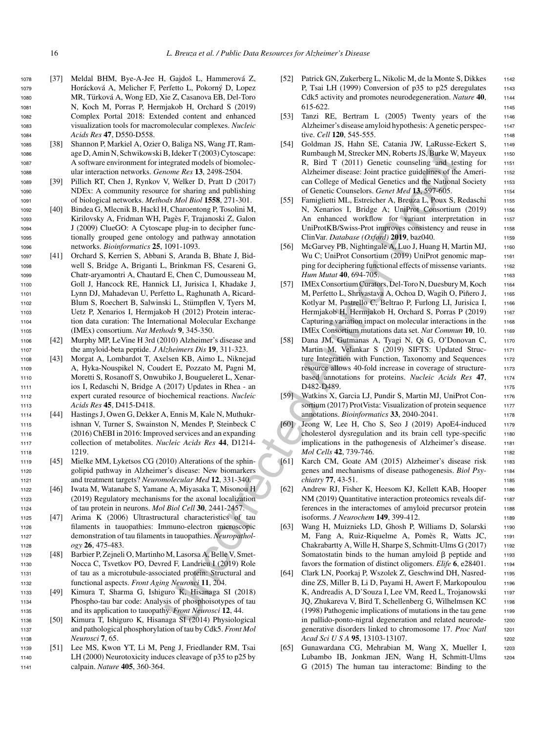- 1078 [37] Meldal BHM, Bye-A-Jee H, Gajdoš L, Hammerová Z, 1079 **Horácková A, Melicher F, Perfetto L, Pokorný D, Lopez** 1080 MR, Türková A, Wong ED, Xie Z, Casanova EB, Del-Toro <sup>1081</sup> N, Koch M, Porras P, Hermjakob H, Orchard S (2019) <sup>1082</sup> Complex Portal 2018: Extended content and enhanced <sup>1083</sup> visualization tools for macromolecular complexes. *Nucleic* <sup>1084</sup> *Acids Res* **47**, D550-D558.
- <sup>1085</sup> [38] Shannon P, Markiel A, Ozier O, Baliga NS, Wang JT, Ram-<sup>1086</sup> age D, Amin N, Schwikowski B, Ideker T (2003) Cytoscape: <sup>1087</sup> A software environment for integrated models of biomolec-<sup>1088</sup> ular interaction networks. *Genome Res* **13**, 2498-2504.
- <sup>1089</sup> [39] Pillich RT, Chen J, Rynkov V, Welker D, Pratt D (2017) <sup>1090</sup> NDEx: A community resource for sharing and publishing <sup>1091</sup> of biological networks. *Methods Mol Biol* **1558**, 271-301.
- <sup>1092</sup> [40] Bindea G, Mlecnik B, Hackl H, Charoentong P, Tosolini M, <sup>1093</sup> Kirilovsky A, Fridman WH, Pages F, Trajanoski Z, Galon ` <sup>1094</sup> J (2009) ClueGO: A Cytoscape plug-in to decipher func-<sup>1095</sup> tionally grouped gene ontology and pathway annotation <sup>1096</sup> networks. *Bioinformatics* **25**, 1091-1093.
- <sup>1097</sup> [41] Orchard S, Kerrien S, Abbani S, Aranda B, Bhate J, Bid-<sup>1098</sup> well S, Bridge A, Briganti L, Brinkman FS, Cesareni G, <sup>1099</sup> Chatr-aryamontri A, Chautard E, Chen C, Dumousseau M, <sup>1100</sup> Goll J, Hancock RE, Hannick LI, Jurisica I, Khadake J, <sup>1101</sup> Lynn DJ, Mahadevan U, Perfetto L, Raghunath A, Ricard-1102 Blum S, Roechert B, Salwinski L, Stümpflen V, Tyers M, <sup>1103</sup> Uetz P, Xenarios I, Hermjakob H (2012) Protein interac-<sup>1104</sup> tion data curation: The International Molecular Exchange <sup>1105</sup> (IMEx) consortium. *Nat Methods* **9**, 345-350.
- <sup>1106</sup> [42] Murphy MP, LeVine H 3rd (2010) Alzheimer's disease and <sup>1107</sup> the amyloid-beta peptide. *J Alzheimers Dis* **19**, 311-323.
- <sup>1108</sup> [43] Morgat A, Lombardot T, Axelsen KB, Aimo L, Niknejad <sup>1109</sup> A, Hyka-Nouspikel N, Coudert E, Pozzato M, Pagni M, <sup>1110</sup> Moretti S, Rosanoff S, Onwubiko J, Bougueleret L, Xenar-<sup>1111</sup> ios I, Redaschi N, Bridge A (2017) Updates in Rhea - an <sup>1112</sup> expert curated resource of biochemical reactions. *Nucleic* <sup>1113</sup> *Acids Res* **45**, D415-D418.
- <sup>1114</sup> [44] Hastings J, Owen G, Dekker A, Ennis M, Kale N, Muthukr-<sup>1115</sup> ishnan V, Turner S, Swainston N, Mendes P, Steinbeck C <sup>1116</sup> (2016) ChEBI in 2016: Improved services and an expanding <sup>1117</sup> collection of metabolites. *Nucleic Acids Res* **44**, D1214- <sup>1118</sup> 1219.
- <sup>1119</sup> [45] Mielke MM, Lyketsos CG (2010) Alterations of the sphin-<sup>1120</sup> golipid pathway in Alzheimer's disease: New biomarkers <sup>1121</sup> and treatment targets? *Neuromolecular Med* **12**, 331-340.
- <sup>1122</sup> [46] Iwata M, Watanabe S, Yamane A, Miyasaka T, Misonou H <sup>1123</sup> (2019) Regulatory mechanisms for the axonal localization <sup>1124</sup> of tau protein in neurons. *Mol Biol Cell* **30**, 2441-2457.
- <sup>1125</sup> [47] Arima K (2006) Ultrastructural characteristics of tau <sup>1126</sup> filaments in tauopathies: Immuno-electron microscopic <sup>1127</sup> demonstration of tau filaments in tauopathies. *Neuropathol-*<sup>1128</sup> *ogy* **26**, 475-483.
- <sup>1129</sup> [48] Barbier P, Zejneli O, Martinho M, Lasorsa A, Belle V, Smet-<sup>1130</sup> Nocca C, Tsvetkov PO, Devred F, Landrieu I (2019) Role <sup>1131</sup> of tau as a microtubule-associated protein: Structural and <sup>1132</sup> functional aspects. *Front Aging Neurosci* **11**, 204.
- <sup>1133</sup> [49] Kimura T, Sharma G, Ishiguro K, Hisanaga SI (2018) <sup>1134</sup> Phospho-tau bar code: Analysis of phosphoisotypes of tau <sup>1135</sup> and its application to tauopathy. *Front Neurosci* **12**, 44.
- <sup>1136</sup> [50] Kimura T, Ishiguro K, Hisanaga SI (2014) Physiological <sup>1137</sup> and pathological phosphorylation of tau by Cdk5. *Front Mol* <sup>1138</sup> *Neurosci* **7**, 65.
- <sup>1139</sup> [51] Lee MS, Kwon YT, Li M, Peng J, Friedlander RM, Tsai <sup>1140</sup> LH (2000) Neurotoxicity induces cleavage of p35 to p25 by <sup>1141</sup> calpain. *Nature* **405**, 360-364.
- [52] Patrick GN, Zukerberg L, Nikolic M, de la Monte S, Dikkes 1142 P. Tsai LH (1999) Conversion of p35 to p25 deregulates 1143 Cdk5 activity and promotes neurodegeneration. *Nature* **40**, <sup>1144</sup> 615-622. <sup>1145</sup>
- [53] Tanzi RE, Bertram L (2005) Twenty years of the <sup>1146</sup> Alzheimer's disease amyloid hypothesis: A genetic perspec1147 tive. *Cell* **120**, 545-555. 1148
- [54] Goldman JS, Hahn SE, Catania JW, LaRusse-Eckert S, 1149 Rumbaugh M, Strecker MN, Roberts JS, Burke W, Mayeux 1150 R, Bird T (2011) Genetic counseling and testing for 1151 Alzheimer disease: Joint practice guidelines of the Ameri-<br>1152 can College of Medical Genetics and the National Society 1153 of Genetic Counselors. *Genet Med* **13**, 597-605. <sup>1154</sup>
- [55] Famiglietti ML, Estreicher A, Breuza L, Poux S, Redaschi 1155 N, Xenarios I, Bridge A; UniProt Consortium (2019) 1156 An enhanced workflow for variant interpretation in 1157 UniProtKB/Swiss-Prot improves consistency and reuse in 1158 ClinVar. *Database (Oxford)* **2019**, baz040. <sup>1159</sup>
- [56] McGarvey PB, Nightingale A, Luo J, Huang H, Martin MJ, 1160 Wu C; UniProt Consortium (2019) UniProt genomic map-<br>1161 ping for deciphering functional effects of missense variants. 1162 *Hum Mutat* **40**, 694-705. 1163
- B. decesir Transon's Rombage M. Streeker NN, Robers is Similar Worker Norman Rect 3. And the Tool Cycless (Separation of the streek of the streek of the streek of the streek of the streek of the streek of the streek of th [57] IMEx Consortium Curators, Del-Toro N, Duesbury M, Koch 1164 M, Perfetto L, Shrivastava A, Ochoa D, Wagih O, Piñero J, 1165 Kotlyar M, Pastrello C, Beltrao P, Furlong LI, Jurisica I, 1166 Hermjakob H, Hermjakob H, Orchard S, Porras P (2019) 1167 Capturing variation impact on molecular interactions in the 1168 IMEx Consortium mutations data set. *Nat Commun* **10**, 10. <sup>1169</sup>
	- [58] Dana JM, Gutmanas A, Tyagi N, Qi G, O'Donovan C, 1170 Martin M, Velankar S (2019) SIFTS: Updated Struc- 1171 ture Integration with Function, Taxonomy and Sequences 1172 resource allows 40-fold increase in coverage of structure-<br>1173 based annotations for proteins. *Nucleic Acids Res* 47, 1174 D482-D489. 1175
	- [59] Watkins X, Garcia LJ, Pundir S, Martin MJ, UniProt Con- <sup>1176</sup> sortium (2017) ProtVista: Visualization of protein sequence 1177 annotations. *Bioinformatics* **33**, 2040-2041. <sup>1178</sup>
	- [60] Jeong W, Lee H, Cho S, Seo J (2019) ApoE4-induced 1179 cholesterol dysregulation and its brain cell type-specific 1180 implications in the pathogenesis of Alzheimer's disease. 1181 *Mol Cells* **42**, 739-746. 1182
	- [61] Karch CM, Goate AM (2015) Alzheimer's disease risk <sup>1183</sup> genes and mechanisms of disease pathogenesis. *Biol Psy-* <sup>1184</sup> *chiatry* **77**, 43-51. 1185
	- [62] Andrew RJ, Fisher K, Heesom KJ, Kellett KAB, Hooper 1186 NM (2019) Quantitative interaction proteomics reveals dif-<br>1187 ferences in the interactomes of amyloid precursor protein 1188 isoforms. *J Neurochem* **149**, 399-412. 1189
	- [63] Wang H, Muiznieks LD, Ghosh P, Williams D, Solarski 1190 M, Fang A, Ruiz-Riquelme A, Pomès R, Watts JC, 1191 Chakrabartty A, Wille H, Sharpe S, Schmitt-Ulms G (2017) 1192 Somatostatin binds to the human amyloid  $\beta$  peptide and 1193 favors the formation of distinct oligomers. *Elife* **6**, e28401. <sup>1194</sup>
	- [64] Clark LN, Poorkaj P, Wszolek Z, Geschwind DH, Nasred- <sup>1195</sup> dine ZS, Miller B, Li D, Payami H, Awert F, Markopoulou 1196 K, Andreadis A, D'Souza I, Lee VM, Reed L, Trojanowski 1197 JQ, Zhukareva V, Bird T, Schellenberg G, Wilhelmsen KC 1198  $(1998)$  Pathogenic implications of mutations in the tau gene  $11998$ in pallido-ponto-nigral degeneration and related neurode- <sup>1200</sup> generative disorders linked to chromosome 17. *Proc Natl* <sup>1201</sup> *Acad SciUSA* **95**, 13103-13107. <sup>1202</sup>
	- [65] Gunawardana CG, Mehrabian M, Wang X, Mueller I, <sup>1203</sup> Lubambo IB, Jonkman JEN, Wang H, Schmitt-Ulms <sup>1204</sup> G (2015) The human tau interactome: Binding to the